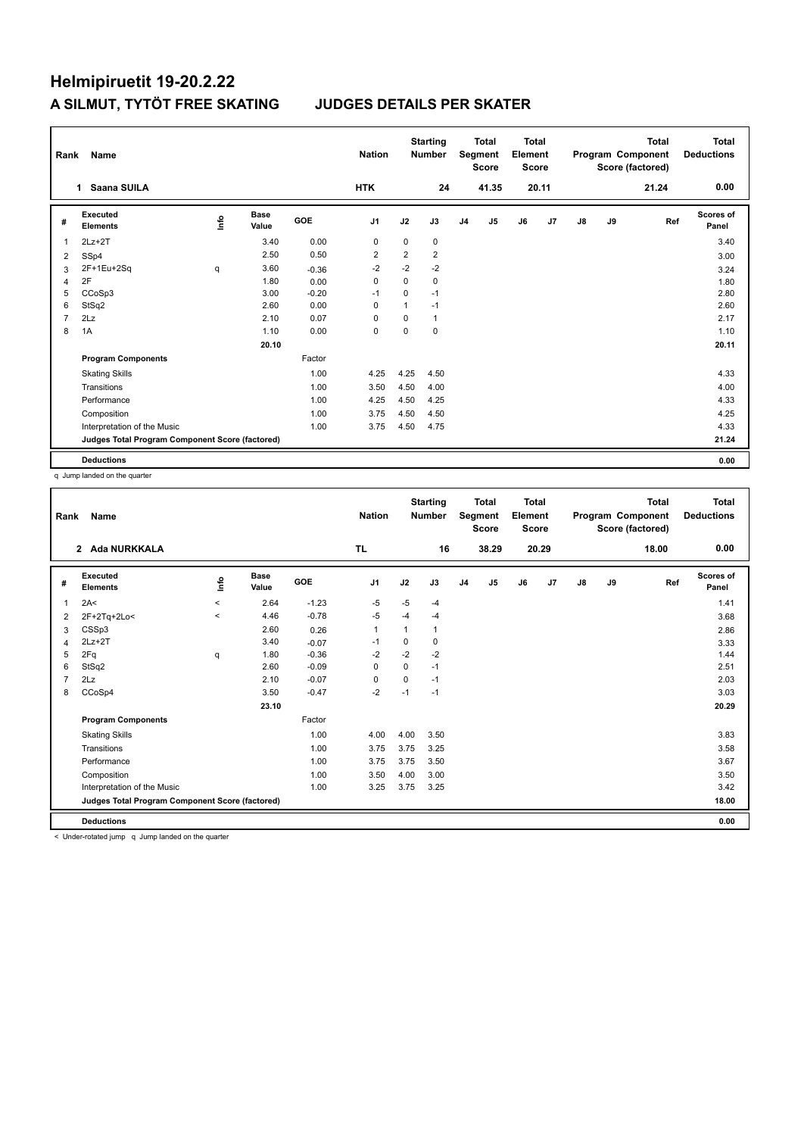| Rank           | <b>Name</b>                                     |                                  |                      |            | <b>Nation</b>  |                | <b>Starting</b><br><b>Number</b> |                | <b>Total</b><br>Segment<br><b>Score</b> | Total<br>Element<br><b>Score</b> |                |               |    | Total<br>Program Component<br>Score (factored) | Total<br><b>Deductions</b> |
|----------------|-------------------------------------------------|----------------------------------|----------------------|------------|----------------|----------------|----------------------------------|----------------|-----------------------------------------|----------------------------------|----------------|---------------|----|------------------------------------------------|----------------------------|
|                | Saana SUILA<br>1                                |                                  |                      |            | <b>HTK</b>     |                | 24                               |                | 41.35                                   |                                  | 20.11          |               |    | 21.24                                          | 0.00                       |
| #              | Executed<br><b>Elements</b>                     | $\mathop{\mathsf{Irr}}\nolimits$ | <b>Base</b><br>Value | <b>GOE</b> | J <sub>1</sub> | J2             | J3                               | J <sub>4</sub> | J5                                      | J6                               | J <sub>7</sub> | $\mathsf{J}8$ | J9 | Ref                                            | <b>Scores of</b><br>Panel  |
| $\overline{1}$ | $2Lz+2T$                                        |                                  | 3.40                 | 0.00       | 0              | $\mathbf 0$    | 0                                |                |                                         |                                  |                |               |    |                                                | 3.40                       |
| 2              | SSp4                                            |                                  | 2.50                 | 0.50       | $\overline{2}$ | $\overline{2}$ | $\overline{2}$                   |                |                                         |                                  |                |               |    |                                                | 3.00                       |
| 3              | 2F+1Eu+2Sq                                      | q                                | 3.60                 | $-0.36$    | $-2$           | $-2$           | $-2$                             |                |                                         |                                  |                |               |    |                                                | 3.24                       |
| 4              | 2F                                              |                                  | 1.80                 | 0.00       | $\mathbf 0$    | $\Omega$       | 0                                |                |                                         |                                  |                |               |    |                                                | 1.80                       |
| 5              | CCoSp3                                          |                                  | 3.00                 | $-0.20$    | $-1$           | $\mathbf 0$    | $-1$                             |                |                                         |                                  |                |               |    |                                                | 2.80                       |
| 6              | StSq2                                           |                                  | 2.60                 | 0.00       | 0              | 1              | $-1$                             |                |                                         |                                  |                |               |    |                                                | 2.60                       |
| $\overline{7}$ | 2Lz                                             |                                  | 2.10                 | 0.07       | 0              | $\Omega$       | 1                                |                |                                         |                                  |                |               |    |                                                | 2.17                       |
| 8              | 1A                                              |                                  | 1.10                 | 0.00       | 0              | $\Omega$       | 0                                |                |                                         |                                  |                |               |    |                                                | 1.10                       |
|                |                                                 |                                  | 20.10                |            |                |                |                                  |                |                                         |                                  |                |               |    |                                                | 20.11                      |
|                | <b>Program Components</b>                       |                                  |                      | Factor     |                |                |                                  |                |                                         |                                  |                |               |    |                                                |                            |
|                | <b>Skating Skills</b>                           |                                  |                      | 1.00       | 4.25           | 4.25           | 4.50                             |                |                                         |                                  |                |               |    |                                                | 4.33                       |
|                | Transitions                                     |                                  |                      | 1.00       | 3.50           | 4.50           | 4.00                             |                |                                         |                                  |                |               |    |                                                | 4.00                       |
|                | Performance                                     |                                  |                      | 1.00       | 4.25           | 4.50           | 4.25                             |                |                                         |                                  |                |               |    |                                                | 4.33                       |
|                | Composition                                     |                                  |                      | 1.00       | 3.75           | 4.50           | 4.50                             |                |                                         |                                  |                |               |    |                                                | 4.25                       |
|                | Interpretation of the Music                     |                                  |                      | 1.00       | 3.75           | 4.50           | 4.75                             |                |                                         |                                  |                |               |    |                                                | 4.33                       |
|                | Judges Total Program Component Score (factored) |                                  |                      |            |                |                |                                  |                |                                         |                                  |                |               |    |                                                | 21.24                      |
|                | <b>Deductions</b>                               |                                  |                      |            |                |                |                                  |                |                                         |                                  |                |               |    |                                                | 0.00                       |

q Jump landed on the quarter

| Rank | Name                                            |          |                      |         | <b>Nation</b> |             | <b>Starting</b><br><b>Number</b> |                | Total<br>Segment<br><b>Score</b> | <b>Total</b><br>Element<br><b>Score</b> |       |               |    | Total<br>Program Component<br>Score (factored) | <b>Total</b><br><b>Deductions</b> |
|------|-------------------------------------------------|----------|----------------------|---------|---------------|-------------|----------------------------------|----------------|----------------------------------|-----------------------------------------|-------|---------------|----|------------------------------------------------|-----------------------------------|
|      | Ada NURKKALA<br>$\overline{2}$                  |          |                      |         | <b>TL</b>     |             | 16                               |                | 38.29                            |                                         | 20.29 |               |    | 18.00                                          | 0.00                              |
| #    | Executed<br><b>Elements</b>                     | ۴        | <b>Base</b><br>Value | GOE     | J1            | J2          | J3                               | J <sub>4</sub> | J5                               | J6                                      | J7    | $\mathsf{J}8$ | J9 | Ref                                            | <b>Scores of</b><br>Panel         |
| 1    | 2A<                                             | $\hat{}$ | 2.64                 | $-1.23$ | -5            | $-5$        | $-4$                             |                |                                  |                                         |       |               |    |                                                | 1.41                              |
| 2    | 2F+2Tq+2Lo<                                     | $\hat{}$ | 4.46                 | $-0.78$ | -5            | $-4$        | $-4$                             |                |                                  |                                         |       |               |    |                                                | 3.68                              |
| 3    | CSSp3                                           |          | 2.60                 | 0.26    | $\mathbf{1}$  | 1           | 1                                |                |                                  |                                         |       |               |    |                                                | 2.86                              |
| 4    | $2Lz + 2T$                                      |          | 3.40                 | $-0.07$ | $-1$          | 0           | 0                                |                |                                  |                                         |       |               |    |                                                | 3.33                              |
| 5    | 2Fq                                             | q        | 1.80                 | $-0.36$ | $-2$          | $-2$        | $-2$                             |                |                                  |                                         |       |               |    |                                                | 1.44                              |
| 6    | StSq2                                           |          | 2.60                 | $-0.09$ | $\mathbf 0$   | $\mathbf 0$ | $-1$                             |                |                                  |                                         |       |               |    |                                                | 2.51                              |
|      | 2Lz                                             |          | 2.10                 | $-0.07$ | 0             | $\Omega$    | $-1$                             |                |                                  |                                         |       |               |    |                                                | 2.03                              |
| 8    | CCoSp4                                          |          | 3.50                 | $-0.47$ | $-2$          | $-1$        | $-1$                             |                |                                  |                                         |       |               |    |                                                | 3.03                              |
|      |                                                 |          | 23.10                |         |               |             |                                  |                |                                  |                                         |       |               |    |                                                | 20.29                             |
|      | <b>Program Components</b>                       |          |                      | Factor  |               |             |                                  |                |                                  |                                         |       |               |    |                                                |                                   |
|      | <b>Skating Skills</b>                           |          |                      | 1.00    | 4.00          | 4.00        | 3.50                             |                |                                  |                                         |       |               |    |                                                | 3.83                              |
|      | Transitions                                     |          |                      | 1.00    | 3.75          | 3.75        | 3.25                             |                |                                  |                                         |       |               |    |                                                | 3.58                              |
|      | Performance                                     |          |                      | 1.00    | 3.75          | 3.75        | 3.50                             |                |                                  |                                         |       |               |    |                                                | 3.67                              |
|      | Composition                                     |          |                      | 1.00    | 3.50          | 4.00        | 3.00                             |                |                                  |                                         |       |               |    |                                                | 3.50                              |
|      | Interpretation of the Music                     |          |                      | 1.00    | 3.25          | 3.75        | 3.25                             |                |                                  |                                         |       |               |    |                                                | 3.42                              |
|      | Judges Total Program Component Score (factored) |          |                      |         |               |             |                                  |                |                                  |                                         |       |               |    |                                                | 18.00                             |
|      | <b>Deductions</b>                               |          |                      |         |               |             |                                  |                |                                  |                                         |       |               |    |                                                | 0.00                              |

< Under-rotated jump q Jump landed on the quarter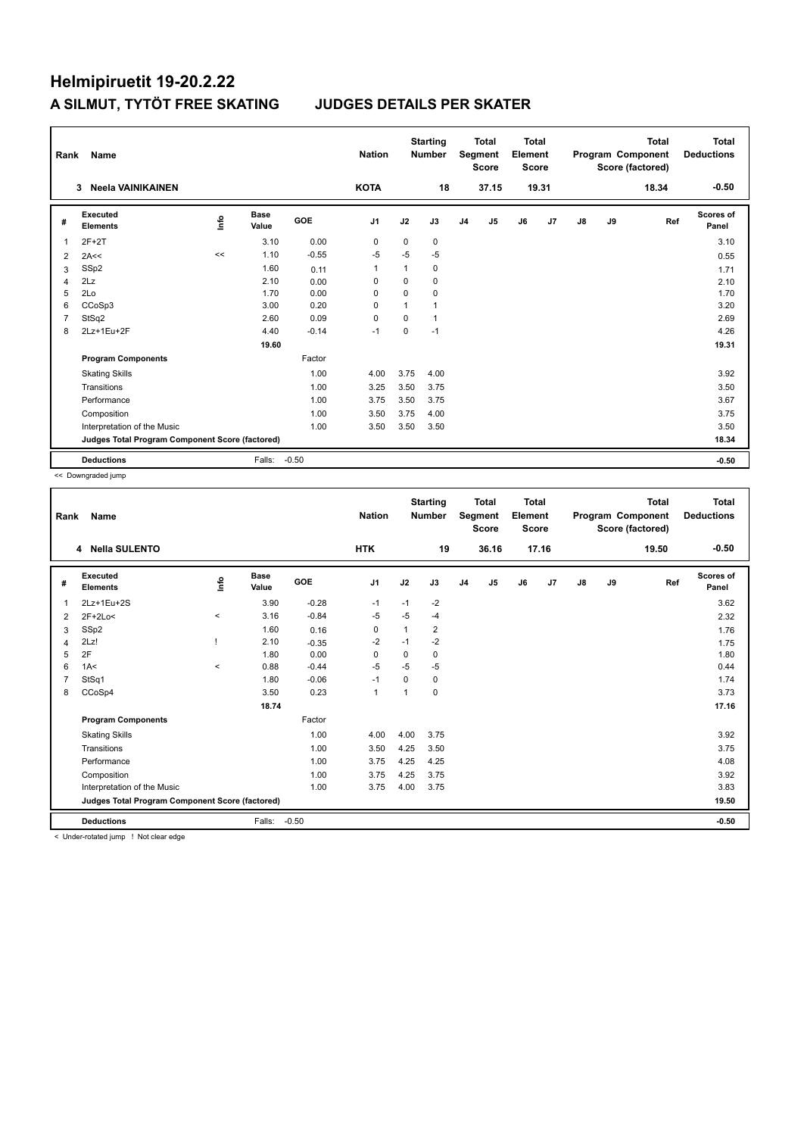# Helmipiruetit 19-20.2.22 A SILMUT, TYTÖT FREE SKATING

### **JUDGES DETAILS PER SKATER**

| Rank           | Name                                            |             |                      |         | <b>Nation</b>  |                | <b>Starting</b><br><b>Number</b> |                | <b>Total</b><br>Segment<br><b>Score</b> | Total<br>Element<br><b>Score</b> |       |               |    | <b>Total</b><br>Program Component<br>Score (factored) | Total<br><b>Deductions</b> |
|----------------|-------------------------------------------------|-------------|----------------------|---------|----------------|----------------|----------------------------------|----------------|-----------------------------------------|----------------------------------|-------|---------------|----|-------------------------------------------------------|----------------------------|
|                | <b>Neela VAINIKAINEN</b><br>3                   |             |                      |         | <b>KOTA</b>    |                | 18                               |                | 37.15                                   |                                  | 19.31 |               |    | 18.34                                                 | $-0.50$                    |
| #              | Executed<br><b>Elements</b>                     | <u>lnfo</u> | <b>Base</b><br>Value | GOE     | J <sub>1</sub> | J2             | J3                               | J <sub>4</sub> | J5                                      | J6                               | J7    | $\mathsf{J}8$ | J9 | Ref                                                   | <b>Scores of</b><br>Panel  |
| 1              | $2F+2T$                                         |             | 3.10                 | 0.00    | 0              | 0              | 0                                |                |                                         |                                  |       |               |    |                                                       | 3.10                       |
| 2              | 2A<<                                            | <<          | 1.10                 | $-0.55$ | $-5$           | $-5$           | $-5$                             |                |                                         |                                  |       |               |    |                                                       | 0.55                       |
| 3              | SSp2                                            |             | 1.60                 | 0.11    | $\mathbf{1}$   | 1              | $\Omega$                         |                |                                         |                                  |       |               |    |                                                       | 1.71                       |
| $\overline{4}$ | 2Lz                                             |             | 2.10                 | 0.00    | 0              | 0              | 0                                |                |                                         |                                  |       |               |    |                                                       | 2.10                       |
| 5              | 2Lo                                             |             | 1.70                 | 0.00    | 0              | $\Omega$       | 0                                |                |                                         |                                  |       |               |    |                                                       | 1.70                       |
| 6              | CCoSp3                                          |             | 3.00                 | 0.20    | 0              | $\overline{1}$ | 1                                |                |                                         |                                  |       |               |    |                                                       | 3.20                       |
| 7              | StSq2                                           |             | 2.60                 | 0.09    | $\mathbf 0$    | $\Omega$       | 1                                |                |                                         |                                  |       |               |    |                                                       | 2.69                       |
| 8              | 2Lz+1Eu+2F                                      |             | 4.40                 | $-0.14$ | $-1$           | 0              | $-1$                             |                |                                         |                                  |       |               |    |                                                       | 4.26                       |
|                |                                                 |             | 19.60                |         |                |                |                                  |                |                                         |                                  |       |               |    |                                                       | 19.31                      |
|                | <b>Program Components</b>                       |             |                      | Factor  |                |                |                                  |                |                                         |                                  |       |               |    |                                                       |                            |
|                | <b>Skating Skills</b>                           |             |                      | 1.00    | 4.00           | 3.75           | 4.00                             |                |                                         |                                  |       |               |    |                                                       | 3.92                       |
|                | Transitions                                     |             |                      | 1.00    | 3.25           | 3.50           | 3.75                             |                |                                         |                                  |       |               |    |                                                       | 3.50                       |
|                | Performance                                     |             |                      | 1.00    | 3.75           | 3.50           | 3.75                             |                |                                         |                                  |       |               |    |                                                       | 3.67                       |
|                | Composition                                     |             |                      | 1.00    | 3.50           | 3.75           | 4.00                             |                |                                         |                                  |       |               |    |                                                       | 3.75                       |
|                | Interpretation of the Music                     |             |                      | 1.00    | 3.50           | 3.50           | 3.50                             |                |                                         |                                  |       |               |    |                                                       | 3.50                       |
|                | Judges Total Program Component Score (factored) |             |                      |         |                |                |                                  |                |                                         |                                  |       |               |    |                                                       | 18.34                      |
|                | <b>Deductions</b>                               |             | Falls:               | $-0.50$ |                |                |                                  |                |                                         |                                  |       |               |    |                                                       | $-0.50$                    |

<< Downgraded jump

| Rank | Name                                            |         |                      |         | <b>Nation</b>  |                | <b>Starting</b><br><b>Number</b> |                | <b>Total</b><br>Segment<br><b>Score</b> | <b>Total</b><br>Element<br><b>Score</b> |       |               |    | <b>Total</b><br>Program Component<br>Score (factored) | <b>Total</b><br><b>Deductions</b> |
|------|-------------------------------------------------|---------|----------------------|---------|----------------|----------------|----------------------------------|----------------|-----------------------------------------|-----------------------------------------|-------|---------------|----|-------------------------------------------------------|-----------------------------------|
|      | 4 Nella SULENTO                                 |         |                      |         | <b>HTK</b>     |                | 19                               |                | 36.16                                   |                                         | 17.16 |               |    | 19.50                                                 | $-0.50$                           |
| #    | Executed<br><b>Elements</b>                     | ۴       | <b>Base</b><br>Value | GOE     | J <sub>1</sub> | J2             | J3                               | J <sub>4</sub> | J5                                      | J6                                      | J7    | $\mathsf{J}8$ | J9 | Ref                                                   | Scores of<br>Panel                |
| 1    | 2Lz+1Eu+2S                                      |         | 3.90                 | $-0.28$ | $-1$           | $-1$           | $-2$                             |                |                                         |                                         |       |               |    |                                                       | 3.62                              |
| 2    | $2F+2Lo<$                                       | $\prec$ | 3.16                 | $-0.84$ | -5             | $-5$           | $-4$                             |                |                                         |                                         |       |               |    |                                                       | 2.32                              |
| 3    | SSp2                                            |         | 1.60                 | 0.16    | $\pmb{0}$      | $\mathbf{1}$   | 2                                |                |                                         |                                         |       |               |    |                                                       | 1.76                              |
| 4    | 2Lz!                                            |         | 2.10                 | $-0.35$ | $-2$           | $-1$           | $-2$                             |                |                                         |                                         |       |               |    |                                                       | 1.75                              |
| 5    | 2F                                              |         | 1.80                 | 0.00    | 0              | 0              | 0                                |                |                                         |                                         |       |               |    |                                                       | 1.80                              |
| 6    | 1A<                                             | $\prec$ | 0.88                 | $-0.44$ | -5             | $-5$           | $-5$                             |                |                                         |                                         |       |               |    |                                                       | 0.44                              |
| 7    | StSq1                                           |         | 1.80                 | $-0.06$ | $-1$           | $\Omega$       | 0                                |                |                                         |                                         |       |               |    |                                                       | 1.74                              |
| 8    | CCoSp4                                          |         | 3.50                 | 0.23    | $\mathbf{1}$   | $\overline{ }$ | 0                                |                |                                         |                                         |       |               |    |                                                       | 3.73                              |
|      |                                                 |         | 18.74                |         |                |                |                                  |                |                                         |                                         |       |               |    |                                                       | 17.16                             |
|      | <b>Program Components</b>                       |         |                      | Factor  |                |                |                                  |                |                                         |                                         |       |               |    |                                                       |                                   |
|      | <b>Skating Skills</b>                           |         |                      | 1.00    | 4.00           | 4.00           | 3.75                             |                |                                         |                                         |       |               |    |                                                       | 3.92                              |
|      | Transitions                                     |         |                      | 1.00    | 3.50           | 4.25           | 3.50                             |                |                                         |                                         |       |               |    |                                                       | 3.75                              |
|      | Performance                                     |         |                      | 1.00    | 3.75           | 4.25           | 4.25                             |                |                                         |                                         |       |               |    |                                                       | 4.08                              |
|      | Composition                                     |         |                      | 1.00    | 3.75           | 4.25           | 3.75                             |                |                                         |                                         |       |               |    |                                                       | 3.92                              |
|      | Interpretation of the Music                     |         |                      | 1.00    | 3.75           | 4.00           | 3.75                             |                |                                         |                                         |       |               |    |                                                       | 3.83                              |
|      | Judges Total Program Component Score (factored) |         |                      |         |                |                |                                  |                |                                         |                                         |       |               |    |                                                       | 19.50                             |
|      | <b>Deductions</b>                               |         | Falls:               | $-0.50$ |                |                |                                  |                |                                         |                                         |       |               |    |                                                       | $-0.50$                           |

< Under-rotated jump ! Not clear edge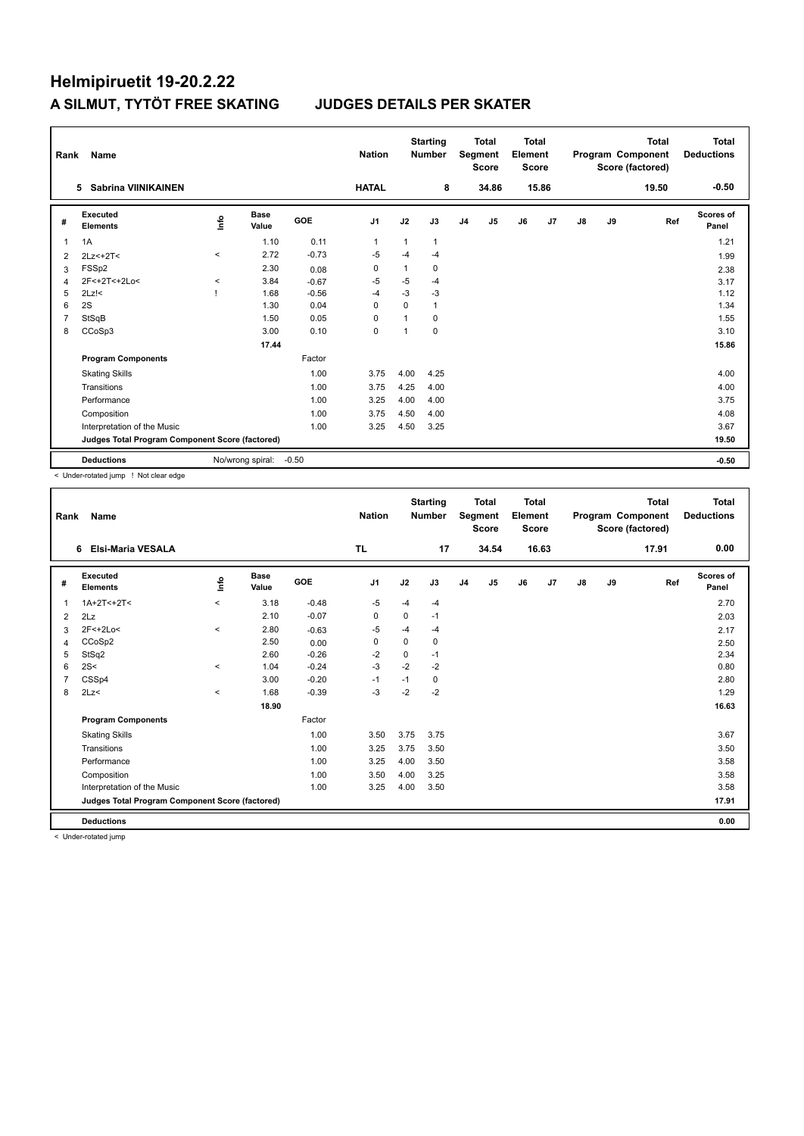| Rank           | Name                                            |           |                      |         | <b>Nation</b>  |                | <b>Starting</b><br><b>Number</b> |                | <b>Total</b><br>Segment<br><b>Score</b> | Total<br>Element<br><b>Score</b> |                |               |    | <b>Total</b><br>Program Component<br>Score (factored) | <b>Total</b><br><b>Deductions</b> |
|----------------|-------------------------------------------------|-----------|----------------------|---------|----------------|----------------|----------------------------------|----------------|-----------------------------------------|----------------------------------|----------------|---------------|----|-------------------------------------------------------|-----------------------------------|
|                | <b>Sabrina VIINIKAINEN</b><br>5                 |           |                      |         | <b>HATAL</b>   |                | 8                                |                | 34.86                                   |                                  | 15.86          |               |    | 19.50                                                 | $-0.50$                           |
| #              | Executed<br><b>Elements</b>                     | Life      | <b>Base</b><br>Value | GOE     | J <sub>1</sub> | J2             | J3                               | J <sub>4</sub> | J5                                      | J6                               | J <sub>7</sub> | $\mathsf{J}8$ | J9 | Ref                                                   | Scores of<br>Panel                |
| 1              | 1A                                              |           | 1.10                 | 0.11    | $\mathbf{1}$   | 1              | 1                                |                |                                         |                                  |                |               |    |                                                       | 1.21                              |
| $\overline{2}$ | $2Lz<+2T<$                                      | $\hat{~}$ | 2.72                 | $-0.73$ | $-5$           | $-4$           | $-4$                             |                |                                         |                                  |                |               |    |                                                       | 1.99                              |
| 3              | FSSp2                                           |           | 2.30                 | 0.08    | 0              | 1              | 0                                |                |                                         |                                  |                |               |    |                                                       | 2.38                              |
| $\overline{4}$ | 2F<+2T<+2Lo<                                    | $\hat{}$  | 3.84                 | $-0.67$ | $-5$           | $-5$           | $-4$                             |                |                                         |                                  |                |               |    |                                                       | 3.17                              |
| 5              | $2Lz$ !<                                        |           | 1.68                 | $-0.56$ | $-4$           | $-3$           | $-3$                             |                |                                         |                                  |                |               |    |                                                       | 1.12                              |
| 6              | 2S                                              |           | 1.30                 | 0.04    | $\Omega$       | $\Omega$       | 1                                |                |                                         |                                  |                |               |    |                                                       | 1.34                              |
| $\overline{7}$ | StSqB                                           |           | 1.50                 | 0.05    | $\mathbf 0$    | $\overline{1}$ | 0                                |                |                                         |                                  |                |               |    |                                                       | 1.55                              |
| 8              | CCoSp3                                          |           | 3.00                 | 0.10    | $\mathbf 0$    | 1              | 0                                |                |                                         |                                  |                |               |    |                                                       | 3.10                              |
|                |                                                 |           | 17.44                |         |                |                |                                  |                |                                         |                                  |                |               |    |                                                       | 15.86                             |
|                | <b>Program Components</b>                       |           |                      | Factor  |                |                |                                  |                |                                         |                                  |                |               |    |                                                       |                                   |
|                | <b>Skating Skills</b>                           |           |                      | 1.00    | 3.75           | 4.00           | 4.25                             |                |                                         |                                  |                |               |    |                                                       | 4.00                              |
|                | Transitions                                     |           |                      | 1.00    | 3.75           | 4.25           | 4.00                             |                |                                         |                                  |                |               |    |                                                       | 4.00                              |
|                | Performance                                     |           |                      | 1.00    | 3.25           | 4.00           | 4.00                             |                |                                         |                                  |                |               |    |                                                       | 3.75                              |
|                | Composition                                     |           |                      | 1.00    | 3.75           | 4.50           | 4.00                             |                |                                         |                                  |                |               |    |                                                       | 4.08                              |
|                | Interpretation of the Music                     |           |                      | 1.00    | 3.25           | 4.50           | 3.25                             |                |                                         |                                  |                |               |    |                                                       | 3.67                              |
|                | Judges Total Program Component Score (factored) |           |                      |         |                |                |                                  |                |                                         |                                  |                |               |    |                                                       | 19.50                             |
|                | <b>Deductions</b>                               |           | No/wrong spiral:     | $-0.50$ |                |                |                                  |                |                                         |                                  |                |               |    |                                                       | $-0.50$                           |

< Under-rotated jump ! Not clear edge

| Rank | <b>Name</b>                                     |         |                      |         | <b>Nation</b>  |             | <b>Starting</b><br><b>Number</b> |                | <b>Total</b><br>Segment<br><b>Score</b> | <b>Total</b><br>Element<br><b>Score</b> |                |    |    | <b>Total</b><br>Program Component<br>Score (factored) | <b>Total</b><br><b>Deductions</b> |
|------|-------------------------------------------------|---------|----------------------|---------|----------------|-------------|----------------------------------|----------------|-----------------------------------------|-----------------------------------------|----------------|----|----|-------------------------------------------------------|-----------------------------------|
|      | <b>Elsi-Maria VESALA</b><br>6                   |         |                      |         | <b>TL</b>      |             | 17                               |                | 34.54                                   |                                         | 16.63          |    |    | 17.91                                                 | 0.00                              |
| #    | Executed<br><b>Elements</b>                     | ۴       | <b>Base</b><br>Value | GOE     | J <sub>1</sub> | J2          | J3                               | J <sub>4</sub> | J5                                      | J6                                      | J <sub>7</sub> | J8 | J9 | Ref                                                   | <b>Scores of</b><br>Panel         |
| 1    | $1A+2T<+2T<$                                    | $\prec$ | 3.18                 | $-0.48$ | -5             | $-4$        | $-4$                             |                |                                         |                                         |                |    |    |                                                       | 2.70                              |
| 2    | 2Lz                                             |         | 2.10                 | $-0.07$ | $\mathbf 0$    | $\Omega$    | $-1$                             |                |                                         |                                         |                |    |    |                                                       | 2.03                              |
| 3    | 2F<+2Lo<                                        | $\,<\,$ | 2.80                 | $-0.63$ | -5             | $-4$        | $-4$                             |                |                                         |                                         |                |    |    |                                                       | 2.17                              |
| 4    | CCoSp2                                          |         | 2.50                 | 0.00    | 0              | $\Omega$    | 0                                |                |                                         |                                         |                |    |    |                                                       | 2.50                              |
| 5    | StSq2                                           |         | 2.60                 | $-0.26$ | $-2$           | $\mathbf 0$ | $-1$                             |                |                                         |                                         |                |    |    |                                                       | 2.34                              |
| 6    | 2S<                                             | $\prec$ | 1.04                 | $-0.24$ | $-3$           | $-2$        | $-2$                             |                |                                         |                                         |                |    |    |                                                       | 0.80                              |
|      | CSSp4                                           |         | 3.00                 | $-0.20$ | $-1$           | $-1$        | 0                                |                |                                         |                                         |                |    |    |                                                       | 2.80                              |
| 8    | 2Lz<                                            | $\,<\,$ | 1.68                 | $-0.39$ | $-3$           | $-2$        | $-2$                             |                |                                         |                                         |                |    |    |                                                       | 1.29                              |
|      |                                                 |         | 18.90                |         |                |             |                                  |                |                                         |                                         |                |    |    |                                                       | 16.63                             |
|      | <b>Program Components</b>                       |         |                      | Factor  |                |             |                                  |                |                                         |                                         |                |    |    |                                                       |                                   |
|      | <b>Skating Skills</b>                           |         |                      | 1.00    | 3.50           | 3.75        | 3.75                             |                |                                         |                                         |                |    |    |                                                       | 3.67                              |
|      | Transitions                                     |         |                      | 1.00    | 3.25           | 3.75        | 3.50                             |                |                                         |                                         |                |    |    |                                                       | 3.50                              |
|      | Performance                                     |         |                      | 1.00    | 3.25           | 4.00        | 3.50                             |                |                                         |                                         |                |    |    |                                                       | 3.58                              |
|      | Composition                                     |         |                      | 1.00    | 3.50           | 4.00        | 3.25                             |                |                                         |                                         |                |    |    |                                                       | 3.58                              |
|      | Interpretation of the Music                     |         |                      | 1.00    | 3.25           | 4.00        | 3.50                             |                |                                         |                                         |                |    |    |                                                       | 3.58                              |
|      | Judges Total Program Component Score (factored) |         |                      |         |                |             |                                  |                |                                         |                                         |                |    |    |                                                       | 17.91                             |
|      | <b>Deductions</b>                               |         |                      |         |                |             |                                  |                |                                         |                                         |                |    |    |                                                       | 0.00                              |

< Under-rotated jump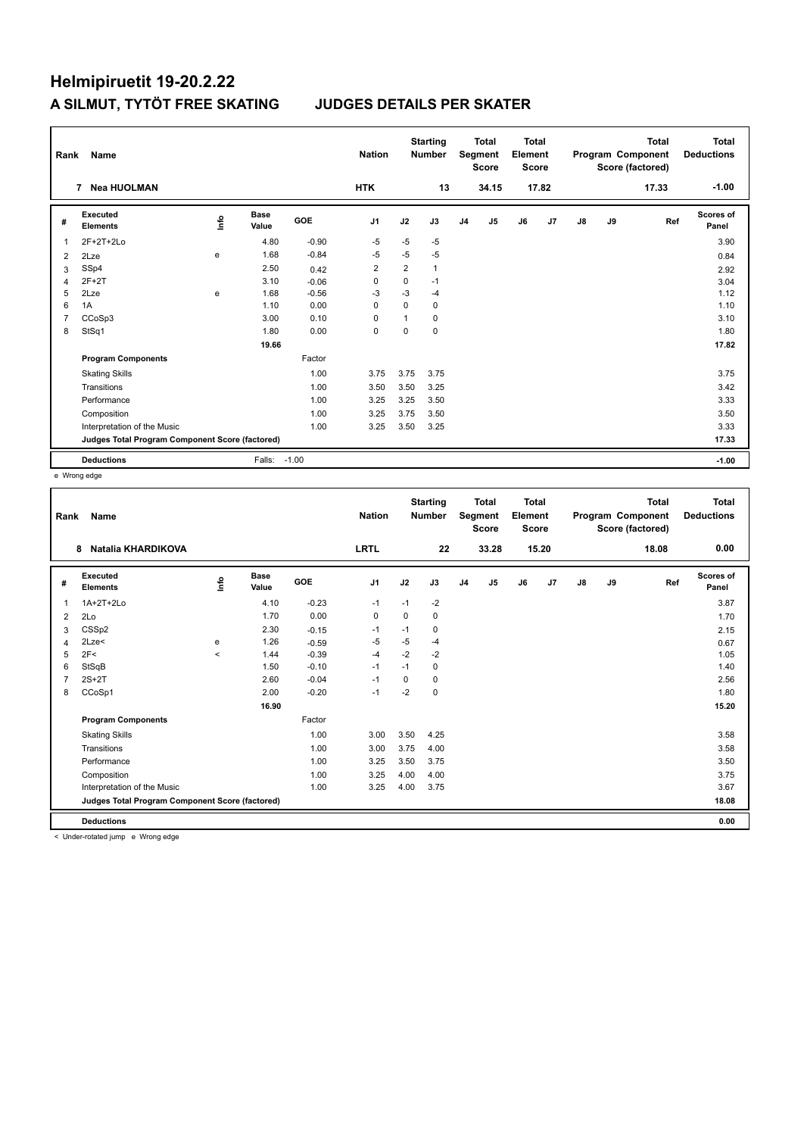| Rank           | Name                                            |      |               |            | <b>Nation</b>  |                | <b>Starting</b><br><b>Number</b> |                | <b>Total</b><br>Segment<br><b>Score</b> | <b>Total</b><br>Element<br><b>Score</b> |       |    |    | <b>Total</b><br>Program Component<br>Score (factored) | <b>Total</b><br><b>Deductions</b> |
|----------------|-------------------------------------------------|------|---------------|------------|----------------|----------------|----------------------------------|----------------|-----------------------------------------|-----------------------------------------|-------|----|----|-------------------------------------------------------|-----------------------------------|
|                | <b>Nea HUOLMAN</b><br>7                         |      |               |            | <b>HTK</b>     |                | 13                               |                | 34.15                                   |                                         | 17.82 |    |    | 17.33                                                 | $-1.00$                           |
| #              | Executed<br><b>Elements</b>                     | lnfo | Base<br>Value | <b>GOE</b> | J <sub>1</sub> | J2             | J3                               | J <sub>4</sub> | J5                                      | J6                                      | J7    | J8 | J9 | Ref                                                   | Scores of<br>Panel                |
| $\overline{1}$ | $2F+2T+2Lo$                                     |      | 4.80          | $-0.90$    | $-5$           | $-5$           | $-5$                             |                |                                         |                                         |       |    |    |                                                       | 3.90                              |
| 2              | 2Lze                                            | e    | 1.68          | $-0.84$    | $-5$           | $-5$           | $-5$                             |                |                                         |                                         |       |    |    |                                                       | 0.84                              |
| 3              | SSp4                                            |      | 2.50          | 0.42       | $\overline{2}$ | $\overline{2}$ | $\mathbf{1}$                     |                |                                         |                                         |       |    |    |                                                       | 2.92                              |
| $\overline{4}$ | $2F+2T$                                         |      | 3.10          | $-0.06$    | $\mathbf 0$    | $\mathbf 0$    | $-1$                             |                |                                         |                                         |       |    |    |                                                       | 3.04                              |
| 5              | 2Lze                                            | e    | 1.68          | $-0.56$    | $-3$           | $-3$           | $-4$                             |                |                                         |                                         |       |    |    |                                                       | 1.12                              |
| 6              | 1A                                              |      | 1.10          | 0.00       | 0              | $\Omega$       | 0                                |                |                                         |                                         |       |    |    |                                                       | 1.10                              |
| $\overline{7}$ | CCoSp3                                          |      | 3.00          | 0.10       | $\Omega$       |                | 0                                |                |                                         |                                         |       |    |    |                                                       | 3.10                              |
| 8              | StSq1                                           |      | 1.80          | 0.00       | $\mathbf 0$    | $\Omega$       | 0                                |                |                                         |                                         |       |    |    |                                                       | 1.80                              |
|                |                                                 |      | 19.66         |            |                |                |                                  |                |                                         |                                         |       |    |    |                                                       | 17.82                             |
|                | <b>Program Components</b>                       |      |               | Factor     |                |                |                                  |                |                                         |                                         |       |    |    |                                                       |                                   |
|                | <b>Skating Skills</b>                           |      |               | 1.00       | 3.75           | 3.75           | 3.75                             |                |                                         |                                         |       |    |    |                                                       | 3.75                              |
|                | Transitions                                     |      |               | 1.00       | 3.50           | 3.50           | 3.25                             |                |                                         |                                         |       |    |    |                                                       | 3.42                              |
|                | Performance                                     |      |               | 1.00       | 3.25           | 3.25           | 3.50                             |                |                                         |                                         |       |    |    |                                                       | 3.33                              |
|                | Composition                                     |      |               | 1.00       | 3.25           | 3.75           | 3.50                             |                |                                         |                                         |       |    |    |                                                       | 3.50                              |
|                | Interpretation of the Music                     |      |               | 1.00       | 3.25           | 3.50           | 3.25                             |                |                                         |                                         |       |    |    |                                                       | 3.33                              |
|                | Judges Total Program Component Score (factored) |      |               |            |                |                |                                  |                |                                         |                                         |       |    |    |                                                       | 17.33                             |
|                | <b>Deductions</b>                               |      | Falls: -1.00  |            |                |                |                                  |                |                                         |                                         |       |    |    |                                                       | $-1.00$                           |

e Wrong edge

| Rank | Name                                            |         |                      |         | <b>Nation</b>  |          | <b>Starting</b><br><b>Number</b> |                | <b>Total</b><br>Segment<br><b>Score</b> | <b>Total</b><br>Element<br><b>Score</b> |       |    |    | <b>Total</b><br>Program Component<br>Score (factored) | <b>Total</b><br><b>Deductions</b> |
|------|-------------------------------------------------|---------|----------------------|---------|----------------|----------|----------------------------------|----------------|-----------------------------------------|-----------------------------------------|-------|----|----|-------------------------------------------------------|-----------------------------------|
|      | Natalia KHARDIKOVA<br>8                         |         |                      |         | <b>LRTL</b>    |          | 22                               |                | 33.28                                   |                                         | 15.20 |    |    | 18.08                                                 | 0.00                              |
| #    | Executed<br><b>Elements</b>                     | ١nfo    | <b>Base</b><br>Value | GOE     | J <sub>1</sub> | J2       | J3                               | J <sub>4</sub> | J <sub>5</sub>                          | J6                                      | J7    | J8 | J9 | Ref                                                   | Scores of<br>Panel                |
| 1    | 1A+2T+2Lo                                       |         | 4.10                 | $-0.23$ | $-1$           | $-1$     | $-2$                             |                |                                         |                                         |       |    |    |                                                       | 3.87                              |
| 2    | 2Lo                                             |         | 1.70                 | 0.00    | 0              | 0        | 0                                |                |                                         |                                         |       |    |    |                                                       | 1.70                              |
| 3    | CSS <sub>p2</sub>                               |         | 2.30                 | $-0.15$ | -1             | $-1$     | 0                                |                |                                         |                                         |       |    |    |                                                       | 2.15                              |
| 4    | 2Lze<                                           | e       | 1.26                 | $-0.59$ | -5             | $-5$     | $-4$                             |                |                                         |                                         |       |    |    |                                                       | 0.67                              |
| 5    | 2F<                                             | $\prec$ | 1.44                 | $-0.39$ | $-4$           | $-2$     | $-2$                             |                |                                         |                                         |       |    |    |                                                       | 1.05                              |
| 6    | StSqB                                           |         | 1.50                 | $-0.10$ | $-1$           | $-1$     | 0                                |                |                                         |                                         |       |    |    |                                                       | 1.40                              |
|      | $2S+2T$                                         |         | 2.60                 | $-0.04$ | $-1$           | $\Omega$ | 0                                |                |                                         |                                         |       |    |    |                                                       | 2.56                              |
| 8    | CCoSp1                                          |         | 2.00                 | $-0.20$ | $-1$           | $-2$     | 0                                |                |                                         |                                         |       |    |    |                                                       | 1.80                              |
|      |                                                 |         | 16.90                |         |                |          |                                  |                |                                         |                                         |       |    |    |                                                       | 15.20                             |
|      | <b>Program Components</b>                       |         |                      | Factor  |                |          |                                  |                |                                         |                                         |       |    |    |                                                       |                                   |
|      | <b>Skating Skills</b>                           |         |                      | 1.00    | 3.00           | 3.50     | 4.25                             |                |                                         |                                         |       |    |    |                                                       | 3.58                              |
|      | Transitions                                     |         |                      | 1.00    | 3.00           | 3.75     | 4.00                             |                |                                         |                                         |       |    |    |                                                       | 3.58                              |
|      | Performance                                     |         |                      | 1.00    | 3.25           | 3.50     | 3.75                             |                |                                         |                                         |       |    |    |                                                       | 3.50                              |
|      | Composition                                     |         |                      | 1.00    | 3.25           | 4.00     | 4.00                             |                |                                         |                                         |       |    |    |                                                       | 3.75                              |
|      | Interpretation of the Music                     |         |                      | 1.00    | 3.25           | 4.00     | 3.75                             |                |                                         |                                         |       |    |    |                                                       | 3.67                              |
|      | Judges Total Program Component Score (factored) |         |                      |         |                |          |                                  |                |                                         |                                         |       |    |    |                                                       | 18.08                             |
|      | <b>Deductions</b>                               |         |                      |         |                |          |                                  |                |                                         |                                         |       |    |    |                                                       | 0.00                              |

< Under-rotated jump e Wrong edge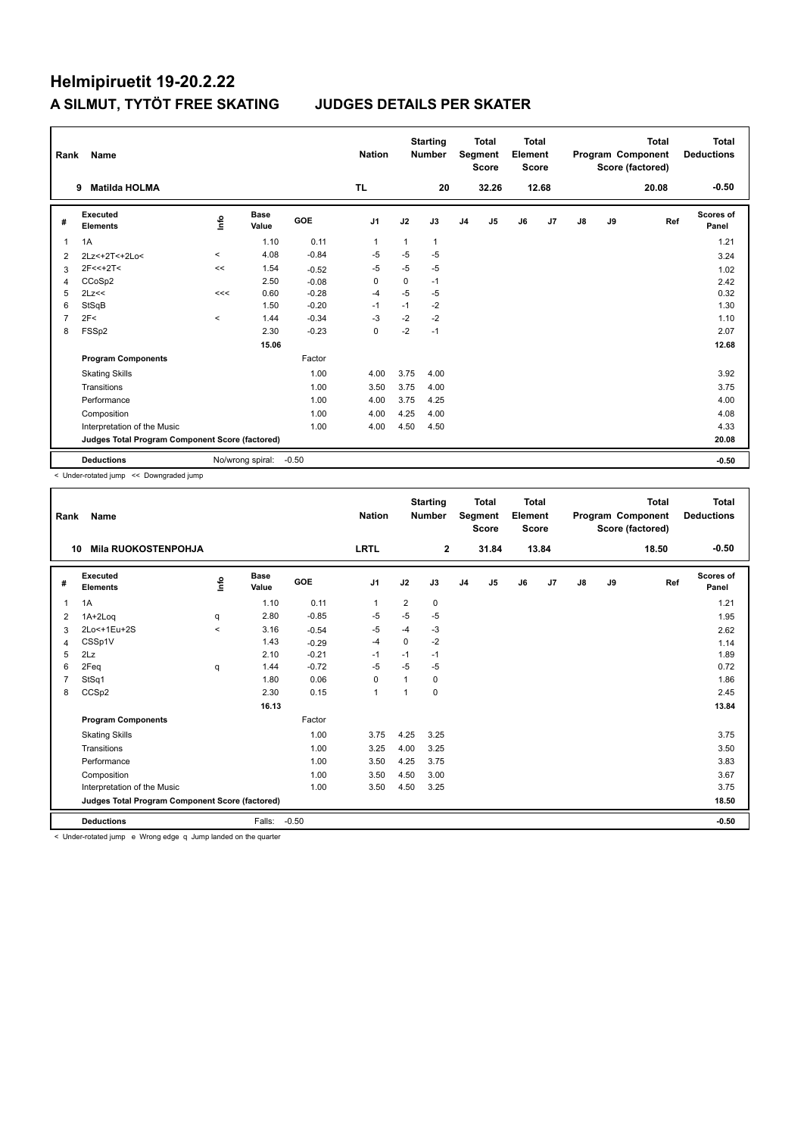| Rank           | Name                                            |         |                  |            | <b>Nation</b>  |          | <b>Starting</b><br><b>Number</b> |                | <b>Total</b><br>Segment<br><b>Score</b> | Total<br>Element<br><b>Score</b> |       |               |    | <b>Total</b><br>Program Component<br>Score (factored) | Total<br><b>Deductions</b> |
|----------------|-------------------------------------------------|---------|------------------|------------|----------------|----------|----------------------------------|----------------|-----------------------------------------|----------------------------------|-------|---------------|----|-------------------------------------------------------|----------------------------|
|                | <b>Matilda HOLMA</b><br>9                       |         |                  |            | TL.            |          | 20                               |                | 32.26                                   |                                  | 12.68 |               |    | 20.08                                                 | $-0.50$                    |
| #              | Executed<br><b>Elements</b>                     | lnfo    | Base<br>Value    | <b>GOE</b> | J <sub>1</sub> | J2       | J3                               | J <sub>4</sub> | J5                                      | J6                               | J7    | $\mathsf{J}8$ | J9 | Ref                                                   | Scores of<br>Panel         |
| $\overline{1}$ | 1A                                              |         | 1.10             | 0.11       | $\mathbf{1}$   | 1        | $\mathbf{1}$                     |                |                                         |                                  |       |               |    |                                                       | 1.21                       |
| 2              | 2Lz<+2T<+2Lo<                                   | $\,<\,$ | 4.08             | $-0.84$    | $-5$           | $-5$     | $-5$                             |                |                                         |                                  |       |               |    |                                                       | 3.24                       |
| 3              | $2F<<+2T<$                                      | <<      | 1.54             | $-0.52$    | $-5$           | $-5$     | $-5$                             |                |                                         |                                  |       |               |    |                                                       | 1.02                       |
| 4              | CCoSp2                                          |         | 2.50             | $-0.08$    | 0              | $\Omega$ | $-1$                             |                |                                         |                                  |       |               |    |                                                       | 2.42                       |
| 5              | 2Lz<<                                           | <<      | 0.60             | $-0.28$    | $-4$           | $-5$     | $-5$                             |                |                                         |                                  |       |               |    |                                                       | 0.32                       |
| 6              | StSqB                                           |         | 1.50             | $-0.20$    | $-1$           | $-1$     | $-2$                             |                |                                         |                                  |       |               |    |                                                       | 1.30                       |
| $\overline{7}$ | 2F<                                             | $\prec$ | 1.44             | $-0.34$    | $-3$           | $-2$     | $-2$                             |                |                                         |                                  |       |               |    |                                                       | 1.10                       |
| 8              | FSSp2                                           |         | 2.30             | $-0.23$    | $\mathbf 0$    | $-2$     | $-1$                             |                |                                         |                                  |       |               |    |                                                       | 2.07                       |
|                |                                                 |         | 15.06            |            |                |          |                                  |                |                                         |                                  |       |               |    |                                                       | 12.68                      |
|                | <b>Program Components</b>                       |         |                  | Factor     |                |          |                                  |                |                                         |                                  |       |               |    |                                                       |                            |
|                | <b>Skating Skills</b>                           |         |                  | 1.00       | 4.00           | 3.75     | 4.00                             |                |                                         |                                  |       |               |    |                                                       | 3.92                       |
|                | Transitions                                     |         |                  | 1.00       | 3.50           | 3.75     | 4.00                             |                |                                         |                                  |       |               |    |                                                       | 3.75                       |
|                | Performance                                     |         |                  | 1.00       | 4.00           | 3.75     | 4.25                             |                |                                         |                                  |       |               |    |                                                       | 4.00                       |
|                | Composition                                     |         |                  | 1.00       | 4.00           | 4.25     | 4.00                             |                |                                         |                                  |       |               |    |                                                       | 4.08                       |
|                | Interpretation of the Music                     |         |                  | 1.00       | 4.00           | 4.50     | 4.50                             |                |                                         |                                  |       |               |    |                                                       | 4.33                       |
|                | Judges Total Program Component Score (factored) |         |                  |            |                |          |                                  |                |                                         |                                  |       |               |    |                                                       | 20.08                      |
|                | <b>Deductions</b>                               |         | No/wrong spiral: | $-0.50$    |                |          |                                  |                |                                         |                                  |       |               |    |                                                       | $-0.50$                    |

< Under-rotated jump << Downgraded jump

| Rank | <b>Name</b>                                     |         |                      |         | <b>Nation</b>  |                | <b>Starting</b><br><b>Number</b> |                | <b>Total</b><br>Segment<br><b>Score</b> | <b>Total</b><br>Element<br><b>Score</b> |       |               |    | <b>Total</b><br>Program Component<br>Score (factored) | <b>Total</b><br><b>Deductions</b> |
|------|-------------------------------------------------|---------|----------------------|---------|----------------|----------------|----------------------------------|----------------|-----------------------------------------|-----------------------------------------|-------|---------------|----|-------------------------------------------------------|-----------------------------------|
| 10   | <b>Mila RUOKOSTENPOHJA</b>                      |         |                      |         | <b>LRTL</b>    |                | $\mathbf{2}$                     |                | 31.84                                   |                                         | 13.84 |               |    | 18.50                                                 | $-0.50$                           |
| #    | Executed<br><b>Elements</b>                     | ۴       | <b>Base</b><br>Value | GOE     | J <sub>1</sub> | J2             | J3                               | J <sub>4</sub> | J5                                      | J6                                      | J7    | $\mathsf{J}8$ | J9 | Ref                                                   | <b>Scores of</b><br>Panel         |
| 1    | 1A                                              |         | 1.10                 | 0.11    | 1              | $\overline{2}$ | $\mathbf 0$                      |                |                                         |                                         |       |               |    |                                                       | 1.21                              |
| 2    | 1A+2Loq                                         | q       | 2.80                 | $-0.85$ | -5             | $-5$           | $-5$                             |                |                                         |                                         |       |               |    |                                                       | 1.95                              |
| 3    | 2Lo<+1Eu+2S                                     | $\prec$ | 3.16                 | $-0.54$ | $-5$           | $-4$           | $-3$                             |                |                                         |                                         |       |               |    |                                                       | 2.62                              |
| 4    | CSSp1V                                          |         | 1.43                 | $-0.29$ | $-4$           | $\Omega$       | $-2$                             |                |                                         |                                         |       |               |    |                                                       | 1.14                              |
| 5    | 2Lz                                             |         | 2.10                 | $-0.21$ | -1             | $-1$           | $-1$                             |                |                                         |                                         |       |               |    |                                                       | 1.89                              |
| 6    | 2Feq                                            | q       | 1.44                 | $-0.72$ | $-5$           | $-5$           | $-5$                             |                |                                         |                                         |       |               |    |                                                       | 0.72                              |
| 7    | StSq1                                           |         | 1.80                 | 0.06    | $\Omega$       | 1              | $\Omega$                         |                |                                         |                                         |       |               |    |                                                       | 1.86                              |
| 8    | CCS <sub>p2</sub>                               |         | 2.30                 | 0.15    | $\mathbf{1}$   | -1             | 0                                |                |                                         |                                         |       |               |    |                                                       | 2.45                              |
|      |                                                 |         | 16.13                |         |                |                |                                  |                |                                         |                                         |       |               |    |                                                       | 13.84                             |
|      | <b>Program Components</b>                       |         |                      | Factor  |                |                |                                  |                |                                         |                                         |       |               |    |                                                       |                                   |
|      | <b>Skating Skills</b>                           |         |                      | 1.00    | 3.75           | 4.25           | 3.25                             |                |                                         |                                         |       |               |    |                                                       | 3.75                              |
|      | Transitions                                     |         |                      | 1.00    | 3.25           | 4.00           | 3.25                             |                |                                         |                                         |       |               |    |                                                       | 3.50                              |
|      | Performance                                     |         |                      | 1.00    | 3.50           | 4.25           | 3.75                             |                |                                         |                                         |       |               |    |                                                       | 3.83                              |
|      | Composition                                     |         |                      | 1.00    | 3.50           | 4.50           | 3.00                             |                |                                         |                                         |       |               |    |                                                       | 3.67                              |
|      | Interpretation of the Music                     |         |                      | 1.00    | 3.50           | 4.50           | 3.25                             |                |                                         |                                         |       |               |    |                                                       | 3.75                              |
|      | Judges Total Program Component Score (factored) |         |                      |         |                |                |                                  |                |                                         |                                         |       |               |    |                                                       | 18.50                             |
|      | <b>Deductions</b>                               |         | Falls:               | $-0.50$ |                |                |                                  |                |                                         |                                         |       |               |    |                                                       | $-0.50$                           |

< Under-rotated jump e Wrong edge q Jump landed on the quarter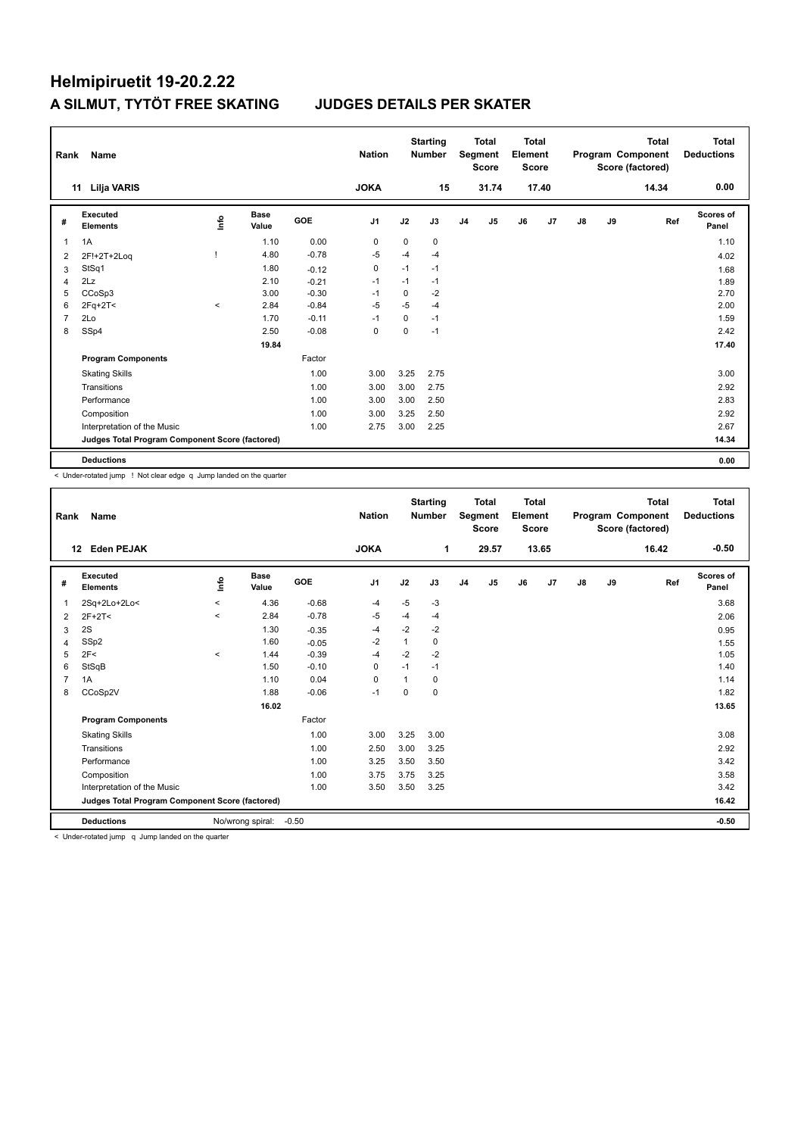| Rank           | <b>Name</b>                                     |       |                      |            | <b>Nation</b>  |             | <b>Starting</b><br><b>Number</b> |                | <b>Total</b><br>Segment<br><b>Score</b> | Total<br>Element<br>Score |       |               |    | <b>Total</b><br>Program Component<br>Score (factored) | Total<br><b>Deductions</b> |
|----------------|-------------------------------------------------|-------|----------------------|------------|----------------|-------------|----------------------------------|----------------|-----------------------------------------|---------------------------|-------|---------------|----|-------------------------------------------------------|----------------------------|
|                | 11 Lilja VARIS                                  |       |                      |            | <b>JOKA</b>    |             | 15                               |                | 31.74                                   |                           | 17.40 |               |    | 14.34                                                 | 0.00                       |
| #              | Executed<br><b>Elements</b>                     | lnfo  | <b>Base</b><br>Value | <b>GOE</b> | J <sub>1</sub> | J2          | J3                               | J <sub>4</sub> | J5                                      | J6                        | J7    | $\mathsf{J}8$ | J9 | Ref                                                   | <b>Scores of</b><br>Panel  |
| $\overline{1}$ | 1A                                              |       | 1.10                 | 0.00       | 0              | $\mathbf 0$ | 0                                |                |                                         |                           |       |               |    |                                                       | 1.10                       |
| 2              | 2F!+2T+2Log                                     |       | 4.80                 | $-0.78$    | $-5$           | $-4$        | $-4$                             |                |                                         |                           |       |               |    |                                                       | 4.02                       |
| 3              | StSq1                                           |       | 1.80                 | $-0.12$    | 0              | $-1$        | $-1$                             |                |                                         |                           |       |               |    |                                                       | 1.68                       |
| 4              | 2Lz                                             |       | 2.10                 | $-0.21$    | $-1$           | $-1$        | $-1$                             |                |                                         |                           |       |               |    |                                                       | 1.89                       |
| 5              | CCoSp3                                          |       | 3.00                 | $-0.30$    | $-1$           | $\mathbf 0$ | $-2$                             |                |                                         |                           |       |               |    |                                                       | 2.70                       |
| 6              | $2Fq+2T<$                                       | $\,<$ | 2.84                 | $-0.84$    | $-5$           | $-5$        | $-4$                             |                |                                         |                           |       |               |    |                                                       | 2.00                       |
| $\overline{7}$ | 2Lo                                             |       | 1.70                 | $-0.11$    | $-1$           | 0           | $-1$                             |                |                                         |                           |       |               |    |                                                       | 1.59                       |
| 8              | SSp4                                            |       | 2.50                 | $-0.08$    | 0              | 0           | $-1$                             |                |                                         |                           |       |               |    |                                                       | 2.42                       |
|                |                                                 |       | 19.84                |            |                |             |                                  |                |                                         |                           |       |               |    |                                                       | 17.40                      |
|                | <b>Program Components</b>                       |       |                      | Factor     |                |             |                                  |                |                                         |                           |       |               |    |                                                       |                            |
|                | <b>Skating Skills</b>                           |       |                      | 1.00       | 3.00           | 3.25        | 2.75                             |                |                                         |                           |       |               |    |                                                       | 3.00                       |
|                | Transitions                                     |       |                      | 1.00       | 3.00           | 3.00        | 2.75                             |                |                                         |                           |       |               |    |                                                       | 2.92                       |
|                | Performance                                     |       |                      | 1.00       | 3.00           | 3.00        | 2.50                             |                |                                         |                           |       |               |    |                                                       | 2.83                       |
|                | Composition                                     |       |                      | 1.00       | 3.00           | 3.25        | 2.50                             |                |                                         |                           |       |               |    |                                                       | 2.92                       |
|                | Interpretation of the Music                     |       |                      | 1.00       | 2.75           | 3.00        | 2.25                             |                |                                         |                           |       |               |    |                                                       | 2.67                       |
|                | Judges Total Program Component Score (factored) |       |                      |            |                |             |                                  |                |                                         |                           |       |               |    |                                                       | 14.34                      |
|                | <b>Deductions</b>                               |       |                      |            |                |             |                                  |                |                                         |                           |       |               |    |                                                       | 0.00                       |

< Under-rotated jump ! Not clear edge q Jump landed on the quarter

| Rank | <b>Name</b>                                     |          |                      |         | <b>Nation</b>  |      | <b>Starting</b><br><b>Number</b> |                | <b>Total</b><br>Segment<br><b>Score</b> | <b>Total</b><br>Element<br>Score |       |               |    | <b>Total</b><br>Program Component<br>Score (factored) | <b>Total</b><br><b>Deductions</b> |
|------|-------------------------------------------------|----------|----------------------|---------|----------------|------|----------------------------------|----------------|-----------------------------------------|----------------------------------|-------|---------------|----|-------------------------------------------------------|-----------------------------------|
|      | <b>Eden PEJAK</b><br>12                         |          |                      |         | <b>JOKA</b>    |      | 1                                |                | 29.57                                   |                                  | 13.65 |               |    | 16.42                                                 | $-0.50$                           |
| #    | Executed<br><b>Elements</b>                     | Life     | <b>Base</b><br>Value | GOE     | J <sub>1</sub> | J2   | J3                               | J <sub>4</sub> | J5                                      | J6                               | J7    | $\mathsf{J}8$ | J9 | Ref                                                   | <b>Scores of</b><br>Panel         |
| 1    | 2Sq+2Lo+2Lo<                                    | $\hat{}$ | 4.36                 | $-0.68$ | $-4$           | $-5$ | $-3$                             |                |                                         |                                  |       |               |    |                                                       | 3.68                              |
| 2    | $2F+2T<$                                        | $\hat{}$ | 2.84                 | $-0.78$ | $-5$           | $-4$ | $-4$                             |                |                                         |                                  |       |               |    |                                                       | 2.06                              |
| 3    | 2S                                              |          | 1.30                 | $-0.35$ | $-4$           | $-2$ | $-2$                             |                |                                         |                                  |       |               |    |                                                       | 0.95                              |
| 4    | SSp2                                            |          | 1.60                 | $-0.05$ | $-2$           | 1    | $\Omega$                         |                |                                         |                                  |       |               |    |                                                       | 1.55                              |
| 5    | 2F<                                             | $\hat{}$ | 1.44                 | $-0.39$ | $-4$           | $-2$ | $-2$                             |                |                                         |                                  |       |               |    |                                                       | 1.05                              |
| 6    | StSqB                                           |          | 1.50                 | $-0.10$ | $\mathbf 0$    | $-1$ | $-1$                             |                |                                         |                                  |       |               |    |                                                       | 1.40                              |
|      | 1A                                              |          | 1.10                 | 0.04    | 0              | 1    | $\Omega$                         |                |                                         |                                  |       |               |    |                                                       | 1.14                              |
| 8    | CCoSp2V                                         |          | 1.88                 | $-0.06$ | $-1$           | 0    | 0                                |                |                                         |                                  |       |               |    |                                                       | 1.82                              |
|      |                                                 |          | 16.02                |         |                |      |                                  |                |                                         |                                  |       |               |    |                                                       | 13.65                             |
|      | <b>Program Components</b>                       |          |                      | Factor  |                |      |                                  |                |                                         |                                  |       |               |    |                                                       |                                   |
|      | <b>Skating Skills</b>                           |          |                      | 1.00    | 3.00           | 3.25 | 3.00                             |                |                                         |                                  |       |               |    |                                                       | 3.08                              |
|      | Transitions                                     |          |                      | 1.00    | 2.50           | 3.00 | 3.25                             |                |                                         |                                  |       |               |    |                                                       | 2.92                              |
|      | Performance                                     |          |                      | 1.00    | 3.25           | 3.50 | 3.50                             |                |                                         |                                  |       |               |    |                                                       | 3.42                              |
|      | Composition                                     |          |                      | 1.00    | 3.75           | 3.75 | 3.25                             |                |                                         |                                  |       |               |    |                                                       | 3.58                              |
|      | Interpretation of the Music                     |          |                      | 1.00    | 3.50           | 3.50 | 3.25                             |                |                                         |                                  |       |               |    |                                                       | 3.42                              |
|      | Judges Total Program Component Score (factored) |          |                      |         |                |      |                                  |                |                                         |                                  |       |               |    |                                                       | 16.42                             |
|      | <b>Deductions</b>                               |          | No/wrong spiral:     | $-0.50$ |                |      |                                  |                |                                         |                                  |       |               |    |                                                       | $-0.50$                           |

< Under-rotated jump q Jump landed on the quarter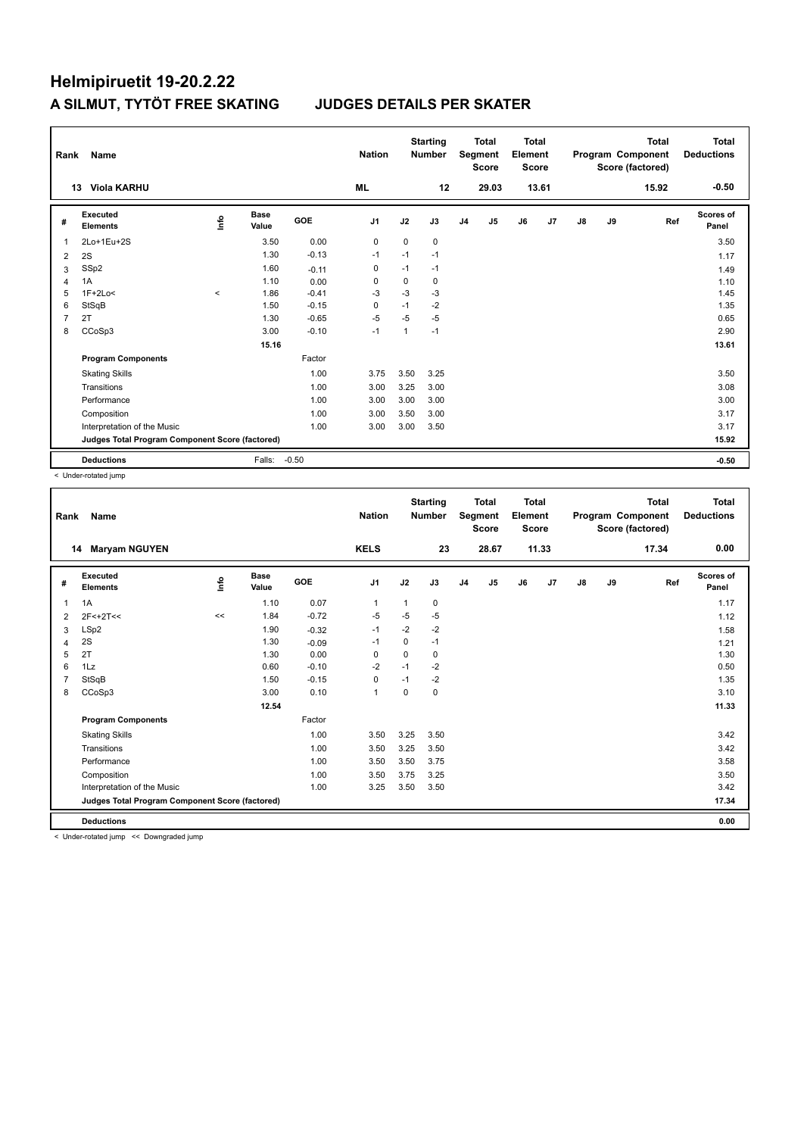| Rank           | Name                                            |         |                      |            | <b>Nation</b>  |              | <b>Starting</b><br><b>Number</b> |                | <b>Total</b><br>Segment<br><b>Score</b> | Total<br>Element<br><b>Score</b> |                |    |    | <b>Total</b><br>Program Component<br>Score (factored) | Total<br><b>Deductions</b> |
|----------------|-------------------------------------------------|---------|----------------------|------------|----------------|--------------|----------------------------------|----------------|-----------------------------------------|----------------------------------|----------------|----|----|-------------------------------------------------------|----------------------------|
|                | <b>Viola KARHU</b><br>13                        |         |                      |            | <b>ML</b>      |              | 12                               |                | 29.03                                   |                                  | 13.61          |    |    | 15.92                                                 | $-0.50$                    |
| #              | Executed<br><b>Elements</b>                     | ۴ů      | <b>Base</b><br>Value | <b>GOE</b> | J <sub>1</sub> | J2           | J3                               | J <sub>4</sub> | J <sub>5</sub>                          | J6                               | J <sub>7</sub> | J8 | J9 | Ref                                                   | Scores of<br>Panel         |
| $\overline{1}$ | 2Lo+1Eu+2S                                      |         | 3.50                 | 0.00       | 0              | $\Omega$     | 0                                |                |                                         |                                  |                |    |    |                                                       | 3.50                       |
| 2              | 2S                                              |         | 1.30                 | $-0.13$    | $-1$           | $-1$         | $-1$                             |                |                                         |                                  |                |    |    |                                                       | 1.17                       |
| 3              | SSp2                                            |         | 1.60                 | $-0.11$    | 0              | $-1$         | $-1$                             |                |                                         |                                  |                |    |    |                                                       | 1.49                       |
| $\overline{4}$ | 1A                                              |         | 1.10                 | 0.00       | 0              | 0            | 0                                |                |                                         |                                  |                |    |    |                                                       | 1.10                       |
| 5              | $1F+2Lo<$                                       | $\prec$ | 1.86                 | $-0.41$    | $-3$           | $-3$         | $-3$                             |                |                                         |                                  |                |    |    |                                                       | 1.45                       |
| 6              | StSqB                                           |         | 1.50                 | $-0.15$    | $\Omega$       | $-1$         | $-2$                             |                |                                         |                                  |                |    |    |                                                       | 1.35                       |
| $\overline{7}$ | 2T                                              |         | 1.30                 | $-0.65$    | $-5$           | $-5$         | $-5$                             |                |                                         |                                  |                |    |    |                                                       | 0.65                       |
| 8              | CCoSp3                                          |         | 3.00                 | $-0.10$    | $-1$           | $\mathbf{1}$ | $-1$                             |                |                                         |                                  |                |    |    |                                                       | 2.90                       |
|                |                                                 |         | 15.16                |            |                |              |                                  |                |                                         |                                  |                |    |    |                                                       | 13.61                      |
|                | <b>Program Components</b>                       |         |                      | Factor     |                |              |                                  |                |                                         |                                  |                |    |    |                                                       |                            |
|                | <b>Skating Skills</b>                           |         |                      | 1.00       | 3.75           | 3.50         | 3.25                             |                |                                         |                                  |                |    |    |                                                       | 3.50                       |
|                | Transitions                                     |         |                      | 1.00       | 3.00           | 3.25         | 3.00                             |                |                                         |                                  |                |    |    |                                                       | 3.08                       |
|                | Performance                                     |         |                      | 1.00       | 3.00           | 3.00         | 3.00                             |                |                                         |                                  |                |    |    |                                                       | 3.00                       |
|                | Composition                                     |         |                      | 1.00       | 3.00           | 3.50         | 3.00                             |                |                                         |                                  |                |    |    |                                                       | 3.17                       |
|                | Interpretation of the Music                     |         |                      | 1.00       | 3.00           | 3.00         | 3.50                             |                |                                         |                                  |                |    |    |                                                       | 3.17                       |
|                | Judges Total Program Component Score (factored) |         |                      |            |                |              |                                  |                |                                         |                                  |                |    |    |                                                       | 15.92                      |
|                | <b>Deductions</b>                               |         | Falls:               | $-0.50$    |                |              |                                  |                |                                         |                                  |                |    |    |                                                       | $-0.50$                    |

< Under-rotated jump

| <b>KELS</b><br>28.67<br>11.33<br><b>Maryam NGUYEN</b><br>23<br>17.34<br>14<br>Executed<br>Base<br>۴<br>GOE<br>J <sub>1</sub><br>J2<br>J3<br>J5<br>J6<br>J7<br>$\mathsf{J}8$<br>J9<br>Ref<br>J <sub>4</sub><br>#<br><b>Elements</b><br>Value<br>0.07<br>1A<br>1.10<br>0<br>1<br>1<br>1<br>$-5$<br>$-5$<br>$-0.72$<br>1.84<br>-5<br>$\,<$<br>2F<+2T<<<br>2<br>$-2$<br>$-2$<br>LSp2<br>1.90<br>$-1$<br>$-0.32$<br>3<br>2S<br>$\mathbf 0$<br>$-1$<br>1.30<br>$-1$<br>$-0.09$<br>4<br>2T<br>0.00<br>1.30<br>0<br>$\Omega$<br>0<br>5<br>0.60<br>$-0.10$<br>$-2$<br>$-2$<br>6<br>1Lz<br>$-1$<br>0<br>$-2$<br>StSqB<br>1.50<br>$-0.15$<br>$-1$<br>7<br>3.00<br>0.10<br>0<br>CCoSp3<br>$\mathbf{1}$<br>0<br>8<br>12.54<br>Factor<br><b>Program Components</b><br>1.00<br>3.25<br>3.50<br><b>Skating Skills</b><br>3.50<br>1.00<br>3.50<br>3.25<br>Transitions<br>3.50<br>1.00<br>3.50<br>3.75<br>Performance<br>3.50<br>1.00<br>3.50<br>3.25<br>Composition<br>3.75<br>Interpretation of the Music<br>1.00<br>3.25<br>3.50<br>3.50<br>Judges Total Program Component Score (factored) | Rank | Name |  | <b>Nation</b> | <b>Starting</b><br><b>Number</b> | <b>Total</b><br>Segment<br><b>Score</b> | <b>Total</b><br>Element<br><b>Score</b> |  | <b>Total</b><br>Program Component<br>Score (factored) | <b>Total</b><br><b>Deductions</b> |
|------------------------------------------------------------------------------------------------------------------------------------------------------------------------------------------------------------------------------------------------------------------------------------------------------------------------------------------------------------------------------------------------------------------------------------------------------------------------------------------------------------------------------------------------------------------------------------------------------------------------------------------------------------------------------------------------------------------------------------------------------------------------------------------------------------------------------------------------------------------------------------------------------------------------------------------------------------------------------------------------------------------------------------------------------------------------------|------|------|--|---------------|----------------------------------|-----------------------------------------|-----------------------------------------|--|-------------------------------------------------------|-----------------------------------|
|                                                                                                                                                                                                                                                                                                                                                                                                                                                                                                                                                                                                                                                                                                                                                                                                                                                                                                                                                                                                                                                                              |      |      |  |               |                                  |                                         |                                         |  |                                                       | 0.00                              |
|                                                                                                                                                                                                                                                                                                                                                                                                                                                                                                                                                                                                                                                                                                                                                                                                                                                                                                                                                                                                                                                                              |      |      |  |               |                                  |                                         |                                         |  |                                                       | Scores of<br>Panel                |
|                                                                                                                                                                                                                                                                                                                                                                                                                                                                                                                                                                                                                                                                                                                                                                                                                                                                                                                                                                                                                                                                              |      |      |  |               |                                  |                                         |                                         |  |                                                       | 1.17                              |
|                                                                                                                                                                                                                                                                                                                                                                                                                                                                                                                                                                                                                                                                                                                                                                                                                                                                                                                                                                                                                                                                              |      |      |  |               |                                  |                                         |                                         |  |                                                       | 1.12                              |
|                                                                                                                                                                                                                                                                                                                                                                                                                                                                                                                                                                                                                                                                                                                                                                                                                                                                                                                                                                                                                                                                              |      |      |  |               |                                  |                                         |                                         |  |                                                       | 1.58                              |
|                                                                                                                                                                                                                                                                                                                                                                                                                                                                                                                                                                                                                                                                                                                                                                                                                                                                                                                                                                                                                                                                              |      |      |  |               |                                  |                                         |                                         |  |                                                       | 1.21                              |
|                                                                                                                                                                                                                                                                                                                                                                                                                                                                                                                                                                                                                                                                                                                                                                                                                                                                                                                                                                                                                                                                              |      |      |  |               |                                  |                                         |                                         |  |                                                       | 1.30                              |
|                                                                                                                                                                                                                                                                                                                                                                                                                                                                                                                                                                                                                                                                                                                                                                                                                                                                                                                                                                                                                                                                              |      |      |  |               |                                  |                                         |                                         |  |                                                       | 0.50                              |
|                                                                                                                                                                                                                                                                                                                                                                                                                                                                                                                                                                                                                                                                                                                                                                                                                                                                                                                                                                                                                                                                              |      |      |  |               |                                  |                                         |                                         |  |                                                       | 1.35                              |
|                                                                                                                                                                                                                                                                                                                                                                                                                                                                                                                                                                                                                                                                                                                                                                                                                                                                                                                                                                                                                                                                              |      |      |  |               |                                  |                                         |                                         |  |                                                       | 3.10                              |
|                                                                                                                                                                                                                                                                                                                                                                                                                                                                                                                                                                                                                                                                                                                                                                                                                                                                                                                                                                                                                                                                              |      |      |  |               |                                  |                                         |                                         |  |                                                       | 11.33                             |
|                                                                                                                                                                                                                                                                                                                                                                                                                                                                                                                                                                                                                                                                                                                                                                                                                                                                                                                                                                                                                                                                              |      |      |  |               |                                  |                                         |                                         |  |                                                       |                                   |
|                                                                                                                                                                                                                                                                                                                                                                                                                                                                                                                                                                                                                                                                                                                                                                                                                                                                                                                                                                                                                                                                              |      |      |  |               |                                  |                                         |                                         |  |                                                       | 3.42                              |
|                                                                                                                                                                                                                                                                                                                                                                                                                                                                                                                                                                                                                                                                                                                                                                                                                                                                                                                                                                                                                                                                              |      |      |  |               |                                  |                                         |                                         |  |                                                       | 3.42                              |
|                                                                                                                                                                                                                                                                                                                                                                                                                                                                                                                                                                                                                                                                                                                                                                                                                                                                                                                                                                                                                                                                              |      |      |  |               |                                  |                                         |                                         |  |                                                       | 3.58                              |
|                                                                                                                                                                                                                                                                                                                                                                                                                                                                                                                                                                                                                                                                                                                                                                                                                                                                                                                                                                                                                                                                              |      |      |  |               |                                  |                                         |                                         |  |                                                       | 3.50                              |
|                                                                                                                                                                                                                                                                                                                                                                                                                                                                                                                                                                                                                                                                                                                                                                                                                                                                                                                                                                                                                                                                              |      |      |  |               |                                  |                                         |                                         |  |                                                       | 3.42                              |
|                                                                                                                                                                                                                                                                                                                                                                                                                                                                                                                                                                                                                                                                                                                                                                                                                                                                                                                                                                                                                                                                              |      |      |  |               |                                  |                                         |                                         |  |                                                       | 17.34                             |
| <b>Deductions</b>                                                                                                                                                                                                                                                                                                                                                                                                                                                                                                                                                                                                                                                                                                                                                                                                                                                                                                                                                                                                                                                            |      |      |  |               |                                  |                                         |                                         |  |                                                       | 0.00                              |

< Under-rotated jump << Downgraded jump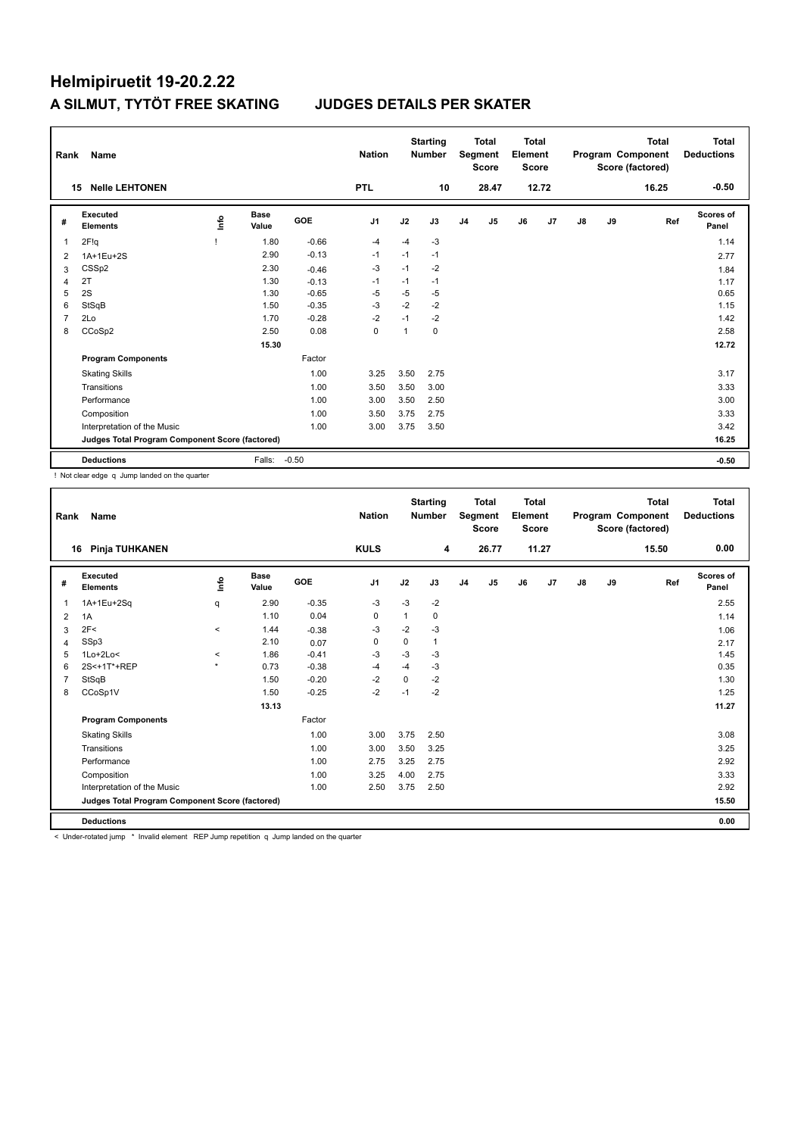| Rank           | Name                                            |          |                      |         | <b>Nation</b>  |                | <b>Starting</b><br><b>Number</b> |                | <b>Total</b><br>Segment<br><b>Score</b> | Total<br>Element<br><b>Score</b> |       |    |    | <b>Total</b><br>Program Component<br>Score (factored) | Total<br><b>Deductions</b> |
|----------------|-------------------------------------------------|----------|----------------------|---------|----------------|----------------|----------------------------------|----------------|-----------------------------------------|----------------------------------|-------|----|----|-------------------------------------------------------|----------------------------|
|                | <b>Nelle LEHTONEN</b><br>15                     |          |                      |         | <b>PTL</b>     |                | 10                               |                | 28.47                                   |                                  | 12.72 |    |    | 16.25                                                 | $-0.50$                    |
| #              | Executed<br><b>Elements</b>                     | <u>l</u> | <b>Base</b><br>Value | GOE     | J <sub>1</sub> | J2             | J3                               | J <sub>4</sub> | J5                                      | J6                               | J7    | J8 | J9 | Ref                                                   | <b>Scores of</b><br>Panel  |
| 1              | 2F!q                                            |          | 1.80                 | $-0.66$ | $-4$           | $-4$           | $-3$                             |                |                                         |                                  |       |    |    |                                                       | 1.14                       |
| 2              | 1A+1Eu+2S                                       |          | 2.90                 | $-0.13$ | $-1$           | $-1$           | $-1$                             |                |                                         |                                  |       |    |    |                                                       | 2.77                       |
| 3              | CSS <sub>p2</sub>                               |          | 2.30                 | $-0.46$ | $-3$           | $-1$           | $-2$                             |                |                                         |                                  |       |    |    |                                                       | 1.84                       |
| $\overline{4}$ | 2T                                              |          | 1.30                 | $-0.13$ | $-1$           | $-1$           | $-1$                             |                |                                         |                                  |       |    |    |                                                       | 1.17                       |
| 5              | 2S                                              |          | 1.30                 | $-0.65$ | $-5$           | $-5$           | $-5$                             |                |                                         |                                  |       |    |    |                                                       | 0.65                       |
| 6              | StSqB                                           |          | 1.50                 | $-0.35$ | $-3$           | $-2$           | $-2$                             |                |                                         |                                  |       |    |    |                                                       | 1.15                       |
| $\overline{7}$ | 2Lo                                             |          | 1.70                 | $-0.28$ | $-2$           | $-1$           | $-2$                             |                |                                         |                                  |       |    |    |                                                       | 1.42                       |
| 8              | CCoSp2                                          |          | 2.50                 | 0.08    | 0              | $\overline{1}$ | 0                                |                |                                         |                                  |       |    |    |                                                       | 2.58                       |
|                |                                                 |          | 15.30                |         |                |                |                                  |                |                                         |                                  |       |    |    |                                                       | 12.72                      |
|                | <b>Program Components</b>                       |          |                      | Factor  |                |                |                                  |                |                                         |                                  |       |    |    |                                                       |                            |
|                | <b>Skating Skills</b>                           |          |                      | 1.00    | 3.25           | 3.50           | 2.75                             |                |                                         |                                  |       |    |    |                                                       | 3.17                       |
|                | Transitions                                     |          |                      | 1.00    | 3.50           | 3.50           | 3.00                             |                |                                         |                                  |       |    |    |                                                       | 3.33                       |
|                | Performance                                     |          |                      | 1.00    | 3.00           | 3.50           | 2.50                             |                |                                         |                                  |       |    |    |                                                       | 3.00                       |
|                | Composition                                     |          |                      | 1.00    | 3.50           | 3.75           | 2.75                             |                |                                         |                                  |       |    |    |                                                       | 3.33                       |
|                | Interpretation of the Music                     |          |                      | 1.00    | 3.00           | 3.75           | 3.50                             |                |                                         |                                  |       |    |    |                                                       | 3.42                       |
|                | Judges Total Program Component Score (factored) |          |                      |         |                |                |                                  |                |                                         |                                  |       |    |    |                                                       | 16.25                      |
|                | <b>Deductions</b>                               |          | Falls:               | $-0.50$ |                |                |                                  |                |                                         |                                  |       |    |    |                                                       | $-0.50$                    |

! Not clear edge q Jump landed on the quarter

| Rank | <b>Name</b>                                     |         |                      |         | <b>Nation</b> |      | <b>Starting</b><br><b>Number</b> |                | <b>Total</b><br>Segment<br><b>Score</b> | <b>Total</b><br>Element<br><b>Score</b> |       |               |    | <b>Total</b><br>Program Component<br>Score (factored) | <b>Total</b><br><b>Deductions</b> |
|------|-------------------------------------------------|---------|----------------------|---------|---------------|------|----------------------------------|----------------|-----------------------------------------|-----------------------------------------|-------|---------------|----|-------------------------------------------------------|-----------------------------------|
|      | Pinja TUHKANEN<br>16                            |         |                      |         | <b>KULS</b>   |      | 4                                |                | 26.77                                   |                                         | 11.27 |               |    | 15.50                                                 | 0.00                              |
| #    | Executed<br><b>Elements</b>                     | ۴       | <b>Base</b><br>Value | GOE     | J1            | J2   | J3                               | J <sub>4</sub> | J5                                      | J6                                      | J7    | $\mathsf{J}8$ | J9 | Ref                                                   | <b>Scores of</b><br>Panel         |
| 1    | 1A+1Eu+2Sq                                      | q       | 2.90                 | $-0.35$ | -3            | $-3$ | $-2$                             |                |                                         |                                         |       |               |    |                                                       | 2.55                              |
| 2    | 1A                                              |         | 1.10                 | 0.04    | 0             | 1    | 0                                |                |                                         |                                         |       |               |    |                                                       | 1.14                              |
| 3    | 2F<                                             | $\,<\,$ | 1.44                 | $-0.38$ | -3            | $-2$ | $-3$                             |                |                                         |                                         |       |               |    |                                                       | 1.06                              |
| 4    | SSp3                                            |         | 2.10                 | 0.07    | 0             | 0    | 1                                |                |                                         |                                         |       |               |    |                                                       | 2.17                              |
| 5    | $1$ Lo $+2$ Lo<                                 | $\prec$ | 1.86                 | $-0.41$ | -3            | $-3$ | $-3$                             |                |                                         |                                         |       |               |    |                                                       | 1.45                              |
| 6    | 2S<+1T*+REP                                     | $\star$ | 0.73                 | $-0.38$ | $-4$          | $-4$ | $-3$                             |                |                                         |                                         |       |               |    |                                                       | 0.35                              |
|      | StSqB                                           |         | 1.50                 | $-0.20$ | $-2$          | 0    | $-2$                             |                |                                         |                                         |       |               |    |                                                       | 1.30                              |
| 8    | CCoSp1V                                         |         | 1.50                 | $-0.25$ | $-2$          | $-1$ | $-2$                             |                |                                         |                                         |       |               |    |                                                       | 1.25                              |
|      |                                                 |         | 13.13                |         |               |      |                                  |                |                                         |                                         |       |               |    |                                                       | 11.27                             |
|      | <b>Program Components</b>                       |         |                      | Factor  |               |      |                                  |                |                                         |                                         |       |               |    |                                                       |                                   |
|      | <b>Skating Skills</b>                           |         |                      | 1.00    | 3.00          | 3.75 | 2.50                             |                |                                         |                                         |       |               |    |                                                       | 3.08                              |
|      | Transitions                                     |         |                      | 1.00    | 3.00          | 3.50 | 3.25                             |                |                                         |                                         |       |               |    |                                                       | 3.25                              |
|      | Performance                                     |         |                      | 1.00    | 2.75          | 3.25 | 2.75                             |                |                                         |                                         |       |               |    |                                                       | 2.92                              |
|      | Composition                                     |         |                      | 1.00    | 3.25          | 4.00 | 2.75                             |                |                                         |                                         |       |               |    |                                                       | 3.33                              |
|      | Interpretation of the Music                     |         |                      | 1.00    | 2.50          | 3.75 | 2.50                             |                |                                         |                                         |       |               |    |                                                       | 2.92                              |
|      | Judges Total Program Component Score (factored) |         |                      |         |               |      |                                  |                |                                         |                                         |       |               |    |                                                       | 15.50                             |
|      | <b>Deductions</b>                               |         |                      |         |               |      |                                  |                |                                         |                                         |       |               |    |                                                       | 0.00                              |

< Under-rotated jump \* Invalid element REP Jump repetition q Jump landed on the quarter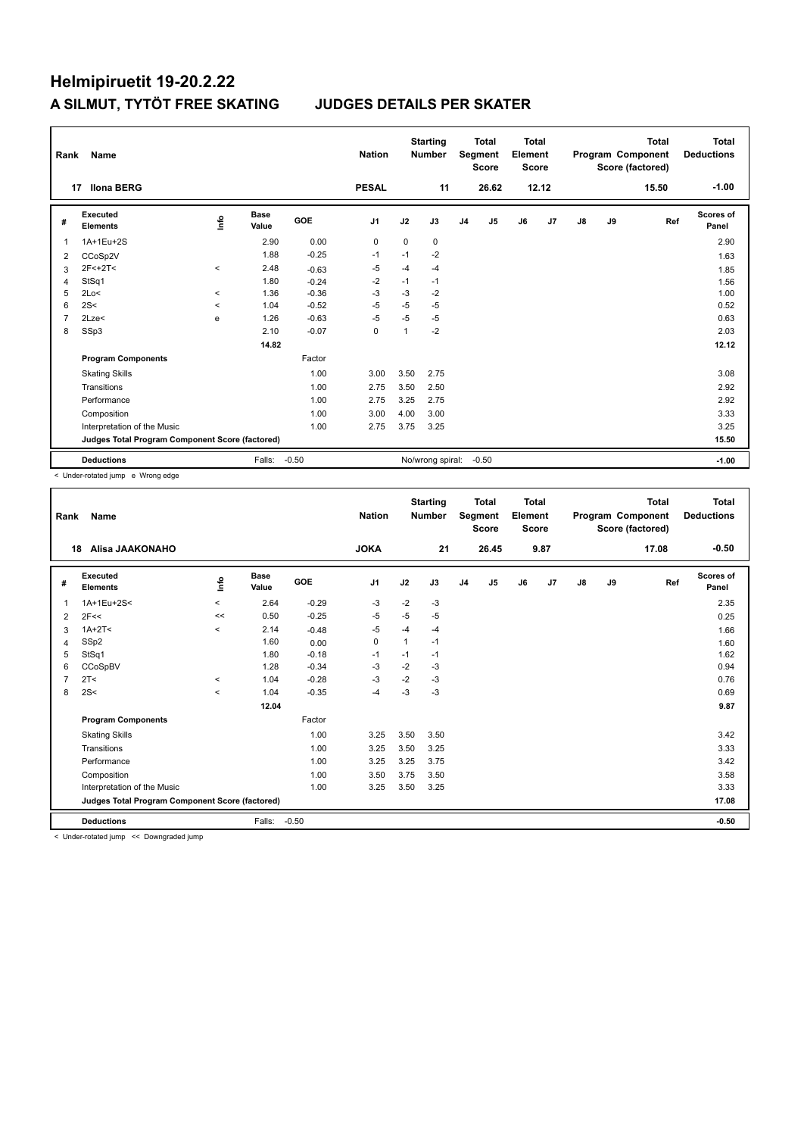| Rank           | Name                                            |         |               |            | <b>Nation</b>  |                | <b>Starting</b><br><b>Number</b> |                | <b>Total</b><br>Segment<br><b>Score</b> | Total<br>Element<br><b>Score</b> |       |               |    | <b>Total</b><br>Program Component<br>Score (factored) | Total<br><b>Deductions</b> |
|----------------|-------------------------------------------------|---------|---------------|------------|----------------|----------------|----------------------------------|----------------|-----------------------------------------|----------------------------------|-------|---------------|----|-------------------------------------------------------|----------------------------|
|                | <b>Ilona BERG</b><br>17                         |         |               |            | <b>PESAL</b>   |                | 11                               |                | 26.62                                   |                                  | 12.12 |               |    | 15.50                                                 | $-1.00$                    |
| #              | Executed<br><b>Elements</b>                     | ۴ů      | Base<br>Value | <b>GOE</b> | J <sub>1</sub> | J2             | J3                               | J <sub>4</sub> | J5                                      | J6                               | J7    | $\mathsf{J}8$ | J9 | Ref                                                   | Scores of<br>Panel         |
| 1              | 1A+1Eu+2S                                       |         | 2.90          | 0.00       | $\mathbf 0$    | $\Omega$       | 0                                |                |                                         |                                  |       |               |    |                                                       | 2.90                       |
| 2              | CCoSp2V                                         |         | 1.88          | $-0.25$    | $-1$           | $-1$           | $-2$                             |                |                                         |                                  |       |               |    |                                                       | 1.63                       |
| 3              | $2F<+2T<$                                       | $\prec$ | 2.48          | $-0.63$    | $-5$           | $-4$           | $-4$                             |                |                                         |                                  |       |               |    |                                                       | 1.85                       |
| 4              | StSq1                                           |         | 1.80          | $-0.24$    | $-2$           | $-1$           | $-1$                             |                |                                         |                                  |       |               |    |                                                       | 1.56                       |
| 5              | 2Lo<                                            | $\prec$ | 1.36          | $-0.36$    | $-3$           | $-3$           | $-2$                             |                |                                         |                                  |       |               |    |                                                       | 1.00                       |
| 6              | 2S<                                             | $\prec$ | 1.04          | $-0.52$    | $-5$           | $-5$           | $-5$                             |                |                                         |                                  |       |               |    |                                                       | 0.52                       |
| $\overline{7}$ | 2Lze<                                           | e       | 1.26          | $-0.63$    | $-5$           | $-5$           | $-5$                             |                |                                         |                                  |       |               |    |                                                       | 0.63                       |
| 8              | SSp3                                            |         | 2.10          | $-0.07$    | $\mathbf 0$    | $\overline{1}$ | $-2$                             |                |                                         |                                  |       |               |    |                                                       | 2.03                       |
|                |                                                 |         | 14.82         |            |                |                |                                  |                |                                         |                                  |       |               |    |                                                       | 12.12                      |
|                | <b>Program Components</b>                       |         |               | Factor     |                |                |                                  |                |                                         |                                  |       |               |    |                                                       |                            |
|                | <b>Skating Skills</b>                           |         |               | 1.00       | 3.00           | 3.50           | 2.75                             |                |                                         |                                  |       |               |    |                                                       | 3.08                       |
|                | Transitions                                     |         |               | 1.00       | 2.75           | 3.50           | 2.50                             |                |                                         |                                  |       |               |    |                                                       | 2.92                       |
|                | Performance                                     |         |               | 1.00       | 2.75           | 3.25           | 2.75                             |                |                                         |                                  |       |               |    |                                                       | 2.92                       |
|                | Composition                                     |         |               | 1.00       | 3.00           | 4.00           | 3.00                             |                |                                         |                                  |       |               |    |                                                       | 3.33                       |
|                | Interpretation of the Music                     |         |               | 1.00       | 2.75           | 3.75           | 3.25                             |                |                                         |                                  |       |               |    |                                                       | 3.25                       |
|                | Judges Total Program Component Score (factored) |         |               |            |                |                |                                  |                |                                         |                                  |       |               |    |                                                       | 15.50                      |
|                | <b>Deductions</b>                               |         | Falls:        | $-0.50$    |                |                | No/wrong spiral:                 |                | $-0.50$                                 |                                  |       |               |    |                                                       | $-1.00$                    |

< Under-rotated jump e Wrong edge

| Rank           | <b>Name</b>                                     |          |                      |         | <b>Nation</b>  |              | <b>Starting</b><br><b>Number</b> |                | <b>Total</b><br>Segment<br><b>Score</b> | <b>Total</b><br>Element<br>Score |      |               |    | <b>Total</b><br>Program Component<br>Score (factored) | Total<br><b>Deductions</b> |
|----------------|-------------------------------------------------|----------|----------------------|---------|----------------|--------------|----------------------------------|----------------|-----------------------------------------|----------------------------------|------|---------------|----|-------------------------------------------------------|----------------------------|
|                | Alisa JAAKONAHO<br>18                           |          |                      |         | <b>JOKA</b>    |              | 21                               |                | 26.45                                   |                                  | 9.87 |               |    | 17.08                                                 | $-0.50$                    |
| #              | Executed<br><b>Elements</b>                     | Life     | <b>Base</b><br>Value | GOE     | J <sub>1</sub> | J2           | J3                               | J <sub>4</sub> | J <sub>5</sub>                          | J6                               | J7   | $\mathsf{J}8$ | J9 | Ref                                                   | Scores of<br>Panel         |
| 1              | 1A+1Eu+2S<                                      | $\,<\,$  | 2.64                 | $-0.29$ | -3             | $-2$         | -3                               |                |                                         |                                  |      |               |    |                                                       | 2.35                       |
| 2              | 2F<<                                            | <<       | 0.50                 | $-0.25$ | $-5$           | $-5$         | $-5$                             |                |                                         |                                  |      |               |    |                                                       | 0.25                       |
| 3              | $1A+2T<$                                        | $\hat{}$ | 2.14                 | $-0.48$ | -5             | $-4$         | $-4$                             |                |                                         |                                  |      |               |    |                                                       | 1.66                       |
| 4              | SSp2                                            |          | 1.60                 | 0.00    | 0              | $\mathbf{1}$ | $-1$                             |                |                                         |                                  |      |               |    |                                                       | 1.60                       |
| 5              | StSq1                                           |          | 1.80                 | $-0.18$ | $-1$           | $-1$         | $-1$                             |                |                                         |                                  |      |               |    |                                                       | 1.62                       |
| 6              | CCoSpBV                                         |          | 1.28                 | $-0.34$ | $-3$           | $-2$         | $-3$                             |                |                                         |                                  |      |               |    |                                                       | 0.94                       |
| $\overline{7}$ | 2T <                                            | $\hat{}$ | 1.04                 | $-0.28$ | $-3$           | $-2$         | $-3$                             |                |                                         |                                  |      |               |    |                                                       | 0.76                       |
| 8              | 2S<                                             | $\hat{}$ | 1.04                 | $-0.35$ | $-4$           | $-3$         | $-3$                             |                |                                         |                                  |      |               |    |                                                       | 0.69                       |
|                |                                                 |          | 12.04                |         |                |              |                                  |                |                                         |                                  |      |               |    |                                                       | 9.87                       |
|                | <b>Program Components</b>                       |          |                      | Factor  |                |              |                                  |                |                                         |                                  |      |               |    |                                                       |                            |
|                | <b>Skating Skills</b>                           |          |                      | 1.00    | 3.25           | 3.50         | 3.50                             |                |                                         |                                  |      |               |    |                                                       | 3.42                       |
|                | Transitions                                     |          |                      | 1.00    | 3.25           | 3.50         | 3.25                             |                |                                         |                                  |      |               |    |                                                       | 3.33                       |
|                | Performance                                     |          |                      | 1.00    | 3.25           | 3.25         | 3.75                             |                |                                         |                                  |      |               |    |                                                       | 3.42                       |
|                | Composition                                     |          |                      | 1.00    | 3.50           | 3.75         | 3.50                             |                |                                         |                                  |      |               |    |                                                       | 3.58                       |
|                | Interpretation of the Music                     |          |                      | 1.00    | 3.25           | 3.50         | 3.25                             |                |                                         |                                  |      |               |    |                                                       | 3.33                       |
|                | Judges Total Program Component Score (factored) |          |                      |         |                |              |                                  |                |                                         |                                  |      |               |    |                                                       | 17.08                      |
|                | <b>Deductions</b>                               |          | Falls:               | $-0.50$ |                |              |                                  |                |                                         |                                  |      |               |    |                                                       | $-0.50$                    |

< Under-rotated jump << Downgraded jump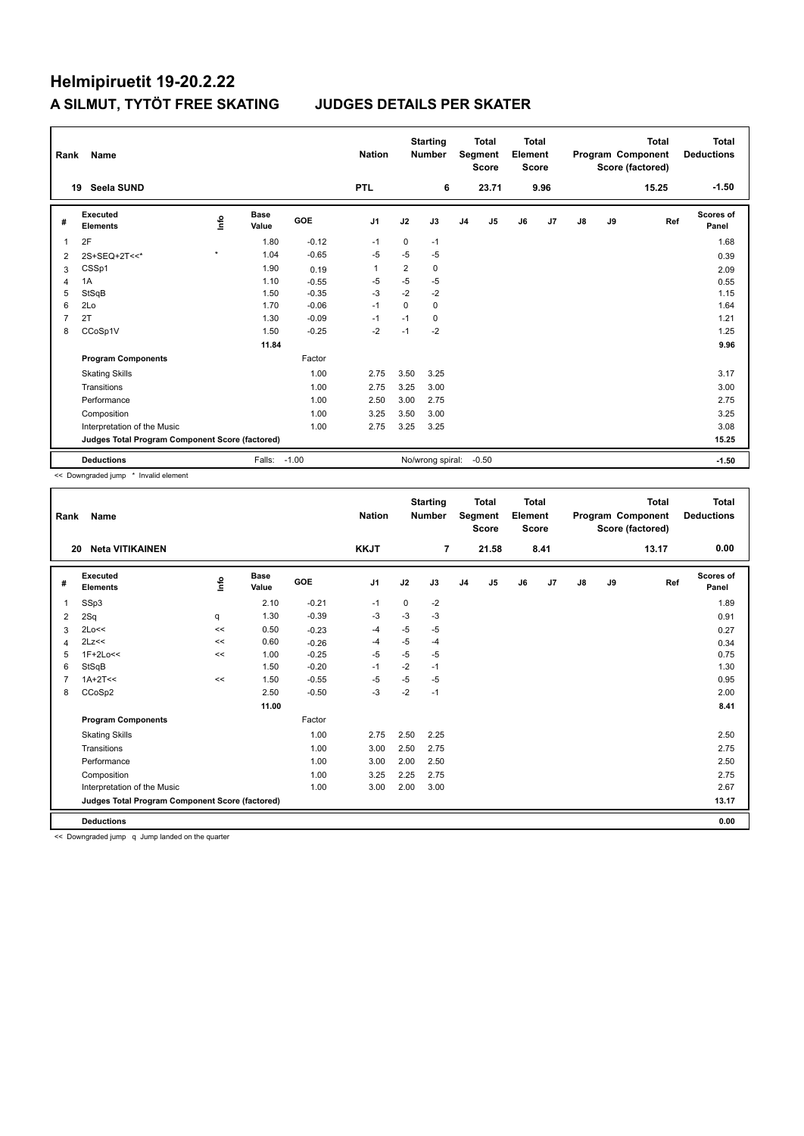| Rank           | Name                                            |                                  |                      |            | <b>Nation</b>  |                | <b>Starting</b><br><b>Number</b> |                | <b>Total</b><br>Segment<br><b>Score</b> | Total<br>Element<br><b>Score</b> |                |    |    | <b>Total</b><br>Program Component<br>Score (factored) | Total<br><b>Deductions</b> |
|----------------|-------------------------------------------------|----------------------------------|----------------------|------------|----------------|----------------|----------------------------------|----------------|-----------------------------------------|----------------------------------|----------------|----|----|-------------------------------------------------------|----------------------------|
|                | <b>Seela SUND</b><br>19                         |                                  |                      |            | <b>PTL</b>     |                | 6                                |                | 23.71                                   |                                  | 9.96           |    |    | 15.25                                                 | $-1.50$                    |
| #              | Executed<br><b>Elements</b>                     | $\mathop{\mathsf{Irr}}\nolimits$ | <b>Base</b><br>Value | <b>GOE</b> | J <sub>1</sub> | J2             | J3                               | J <sub>4</sub> | J <sub>5</sub>                          | J6                               | J <sub>7</sub> | J8 | J9 | Ref                                                   | Scores of<br>Panel         |
| 1              | 2F                                              |                                  | 1.80                 | $-0.12$    | $-1$           | $\mathbf 0$    | $-1$                             |                |                                         |                                  |                |    |    |                                                       | 1.68                       |
| $\overline{2}$ | 2S+SEQ+2T<<*                                    | $\star$                          | 1.04                 | $-0.65$    | $-5$           | $-5$           | $-5$                             |                |                                         |                                  |                |    |    |                                                       | 0.39                       |
| 3              | CSSp1                                           |                                  | 1.90                 | 0.19       | $\overline{1}$ | $\overline{2}$ | $\mathbf 0$                      |                |                                         |                                  |                |    |    |                                                       | 2.09                       |
| 4              | 1A                                              |                                  | 1.10                 | $-0.55$    | $-5$           | $-5$           | $-5$                             |                |                                         |                                  |                |    |    |                                                       | 0.55                       |
| 5              | StSqB                                           |                                  | 1.50                 | $-0.35$    | -3             | $-2$           | $-2$                             |                |                                         |                                  |                |    |    |                                                       | 1.15                       |
| 6              | 2Lo                                             |                                  | 1.70                 | $-0.06$    | $-1$           | $\Omega$       | $\Omega$                         |                |                                         |                                  |                |    |    |                                                       | 1.64                       |
| $\overline{7}$ | 2T                                              |                                  | 1.30                 | $-0.09$    | -1             | $-1$           | $\Omega$                         |                |                                         |                                  |                |    |    |                                                       | 1.21                       |
| 8              | CCoSp1V                                         |                                  | 1.50                 | $-0.25$    | $-2$           | $-1$           | $-2$                             |                |                                         |                                  |                |    |    |                                                       | 1.25                       |
|                |                                                 |                                  | 11.84                |            |                |                |                                  |                |                                         |                                  |                |    |    |                                                       | 9.96                       |
|                | <b>Program Components</b>                       |                                  |                      | Factor     |                |                |                                  |                |                                         |                                  |                |    |    |                                                       |                            |
|                | <b>Skating Skills</b>                           |                                  |                      | 1.00       | 2.75           | 3.50           | 3.25                             |                |                                         |                                  |                |    |    |                                                       | 3.17                       |
|                | Transitions                                     |                                  |                      | 1.00       | 2.75           | 3.25           | 3.00                             |                |                                         |                                  |                |    |    |                                                       | 3.00                       |
|                | Performance                                     |                                  |                      | 1.00       | 2.50           | 3.00           | 2.75                             |                |                                         |                                  |                |    |    |                                                       | 2.75                       |
|                | Composition                                     |                                  |                      | 1.00       | 3.25           | 3.50           | 3.00                             |                |                                         |                                  |                |    |    |                                                       | 3.25                       |
|                | Interpretation of the Music                     |                                  |                      | 1.00       | 2.75           | 3.25           | 3.25                             |                |                                         |                                  |                |    |    |                                                       | 3.08                       |
|                | Judges Total Program Component Score (factored) |                                  |                      |            |                |                |                                  |                |                                         |                                  |                |    |    |                                                       | 15.25                      |
|                | <b>Deductions</b>                               |                                  | Falls: -1.00         |            |                |                | No/wrong spiral:                 |                | $-0.50$                                 |                                  |                |    |    |                                                       | $-1.50$                    |

<< Downgraded jump \* Invalid element

| Rank | Name                                            |      |                      |         | <b>Nation</b>  |      | <b>Starting</b><br><b>Number</b> |                | <b>Total</b><br>Segment<br><b>Score</b> | <b>Total</b><br>Element<br><b>Score</b> |      |               |    | <b>Total</b><br>Program Component<br>Score (factored) | Total<br><b>Deductions</b> |
|------|-------------------------------------------------|------|----------------------|---------|----------------|------|----------------------------------|----------------|-----------------------------------------|-----------------------------------------|------|---------------|----|-------------------------------------------------------|----------------------------|
| 20   | <b>Neta VITIKAINEN</b>                          |      |                      |         | <b>KKJT</b>    |      | $\overline{7}$                   |                | 21.58                                   |                                         | 8.41 |               |    | 13.17                                                 | 0.00                       |
| #    | Executed<br><b>Elements</b>                     | ١nfo | <b>Base</b><br>Value | GOE     | J <sub>1</sub> | J2   | J3                               | J <sub>4</sub> | J5                                      | J6                                      | J7   | $\mathsf{J}8$ | J9 | Ref                                                   | <b>Scores of</b><br>Panel  |
| 1    | SSp3                                            |      | 2.10                 | $-0.21$ | $-1$           | 0    | $-2$                             |                |                                         |                                         |      |               |    |                                                       | 1.89                       |
| 2    | 2Sq                                             | q    | 1.30                 | $-0.39$ | -3             | $-3$ | $-3$                             |                |                                         |                                         |      |               |    |                                                       | 0.91                       |
| 3    | 2Lo<<                                           | <<   | 0.50                 | $-0.23$ | -4             | $-5$ | $-5$                             |                |                                         |                                         |      |               |    |                                                       | 0.27                       |
| 4    | 2Lz<<                                           | <<   | 0.60                 | $-0.26$ | $-4$           | $-5$ | $-4$                             |                |                                         |                                         |      |               |    |                                                       | 0.34                       |
| 5    | $1F+2Lo<<$                                      | <<   | 1.00                 | $-0.25$ | $-5$           | $-5$ | $-5$                             |                |                                         |                                         |      |               |    |                                                       | 0.75                       |
| 6    | StSqB                                           |      | 1.50                 | $-0.20$ | $-1$           | $-2$ | $-1$                             |                |                                         |                                         |      |               |    |                                                       | 1.30                       |
|      | $1A+2T<<$                                       | <<   | 1.50                 | $-0.55$ | $-5$           | $-5$ | $-5$                             |                |                                         |                                         |      |               |    |                                                       | 0.95                       |
| 8    | CCoSp2                                          |      | 2.50                 | $-0.50$ | $-3$           | $-2$ | $-1$                             |                |                                         |                                         |      |               |    |                                                       | 2.00                       |
|      |                                                 |      | 11.00                |         |                |      |                                  |                |                                         |                                         |      |               |    |                                                       | 8.41                       |
|      | <b>Program Components</b>                       |      |                      | Factor  |                |      |                                  |                |                                         |                                         |      |               |    |                                                       |                            |
|      | <b>Skating Skills</b>                           |      |                      | 1.00    | 2.75           | 2.50 | 2.25                             |                |                                         |                                         |      |               |    |                                                       | 2.50                       |
|      | Transitions                                     |      |                      | 1.00    | 3.00           | 2.50 | 2.75                             |                |                                         |                                         |      |               |    |                                                       | 2.75                       |
|      | Performance                                     |      |                      | 1.00    | 3.00           | 2.00 | 2.50                             |                |                                         |                                         |      |               |    |                                                       | 2.50                       |
|      | Composition                                     |      |                      | 1.00    | 3.25           | 2.25 | 2.75                             |                |                                         |                                         |      |               |    |                                                       | 2.75                       |
|      | Interpretation of the Music                     |      |                      | 1.00    | 3.00           | 2.00 | 3.00                             |                |                                         |                                         |      |               |    |                                                       | 2.67                       |
|      | Judges Total Program Component Score (factored) |      |                      |         |                |      |                                  |                |                                         |                                         |      |               |    |                                                       | 13.17                      |
|      | <b>Deductions</b>                               |      |                      |         |                |      |                                  |                |                                         |                                         |      |               |    |                                                       | 0.00                       |

<< Downgraded jump q Jump landed on the quarter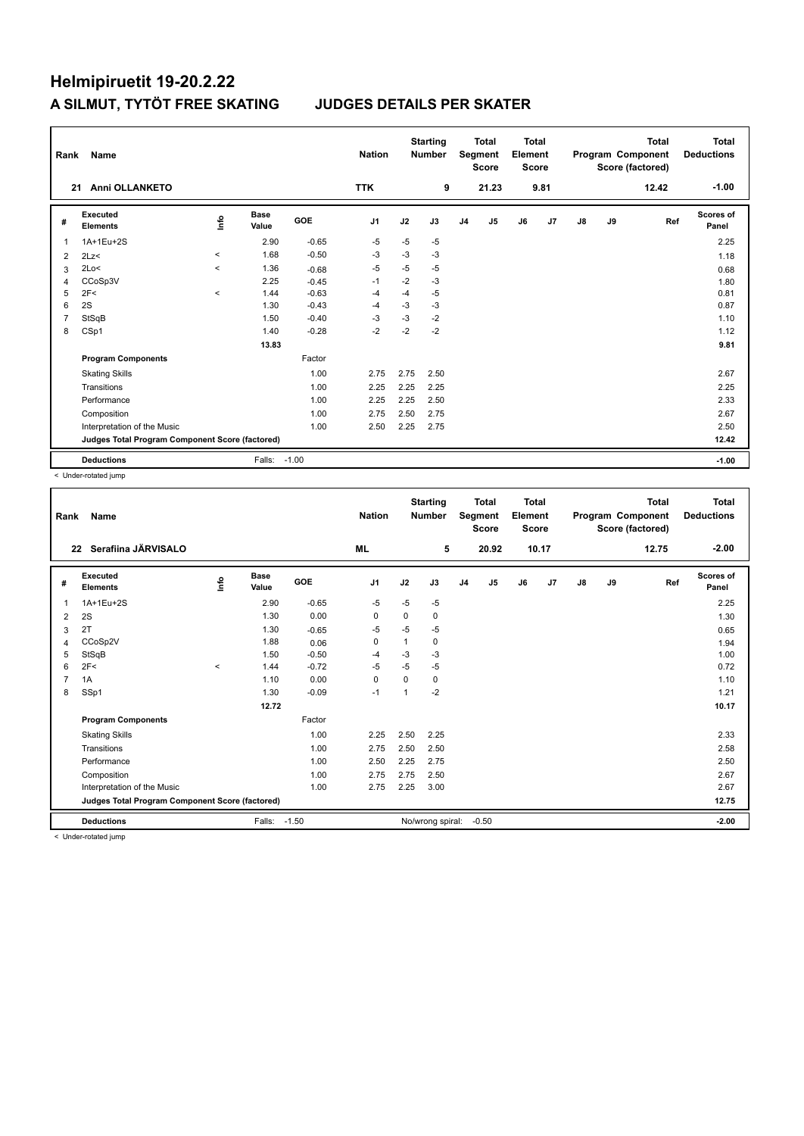| Rank           | Name                                            |          |                      |            | <b>Nation</b>  |      | <b>Starting</b><br><b>Number</b> |                | <b>Total</b><br>Segment<br><b>Score</b> | Total<br>Element<br><b>Score</b> |      |               |    | <b>Total</b><br>Program Component<br>Score (factored) | <b>Total</b><br><b>Deductions</b> |
|----------------|-------------------------------------------------|----------|----------------------|------------|----------------|------|----------------------------------|----------------|-----------------------------------------|----------------------------------|------|---------------|----|-------------------------------------------------------|-----------------------------------|
| 21             | <b>Anni OLLANKETO</b>                           |          |                      |            | <b>TTK</b>     |      | 9                                |                | 21.23                                   |                                  | 9.81 |               |    | 12.42                                                 | $-1.00$                           |
| #              | Executed<br><b>Elements</b>                     | ۴        | <b>Base</b><br>Value | <b>GOE</b> | J <sub>1</sub> | J2   | J3                               | J <sub>4</sub> | J5                                      | J6                               | J7   | $\mathsf{J}8$ | J9 | Ref                                                   | <b>Scores of</b><br>Panel         |
| $\overline{1}$ | 1A+1Eu+2S                                       |          | 2.90                 | $-0.65$    | $-5$           | $-5$ | $-5$                             |                |                                         |                                  |      |               |    |                                                       | 2.25                              |
| 2              | 2Lz<                                            | $\hat{}$ | 1.68                 | $-0.50$    | $-3$           | $-3$ | $-3$                             |                |                                         |                                  |      |               |    |                                                       | 1.18                              |
| 3              | 2Lo<                                            | $\prec$  | 1.36                 | $-0.68$    | $-5$           | $-5$ | $-5$                             |                |                                         |                                  |      |               |    |                                                       | 0.68                              |
| 4              | CCoSp3V                                         |          | 2.25                 | $-0.45$    | $-1$           | $-2$ | $-3$                             |                |                                         |                                  |      |               |    |                                                       | 1.80                              |
| 5              | 2F<                                             | $\prec$  | 1.44                 | $-0.63$    | -4             | $-4$ | $-5$                             |                |                                         |                                  |      |               |    |                                                       | 0.81                              |
| 6              | 2S                                              |          | 1.30                 | $-0.43$    | $-4$           | $-3$ | $-3$                             |                |                                         |                                  |      |               |    |                                                       | 0.87                              |
| $\overline{7}$ | StSqB                                           |          | 1.50                 | $-0.40$    | $-3$           | $-3$ | $-2$                             |                |                                         |                                  |      |               |    |                                                       | 1.10                              |
| 8              | CSp1                                            |          | 1.40                 | $-0.28$    | $-2$           | $-2$ | $-2$                             |                |                                         |                                  |      |               |    |                                                       | 1.12                              |
|                |                                                 |          | 13.83                |            |                |      |                                  |                |                                         |                                  |      |               |    |                                                       | 9.81                              |
|                | <b>Program Components</b>                       |          |                      | Factor     |                |      |                                  |                |                                         |                                  |      |               |    |                                                       |                                   |
|                | <b>Skating Skills</b>                           |          |                      | 1.00       | 2.75           | 2.75 | 2.50                             |                |                                         |                                  |      |               |    |                                                       | 2.67                              |
|                | Transitions                                     |          |                      | 1.00       | 2.25           | 2.25 | 2.25                             |                |                                         |                                  |      |               |    |                                                       | 2.25                              |
|                | Performance                                     |          |                      | 1.00       | 2.25           | 2.25 | 2.50                             |                |                                         |                                  |      |               |    |                                                       | 2.33                              |
|                | Composition                                     |          |                      | 1.00       | 2.75           | 2.50 | 2.75                             |                |                                         |                                  |      |               |    |                                                       | 2.67                              |
|                | Interpretation of the Music                     |          |                      | 1.00       | 2.50           | 2.25 | 2.75                             |                |                                         |                                  |      |               |    |                                                       | 2.50                              |
|                | Judges Total Program Component Score (factored) |          |                      |            |                |      |                                  |                |                                         |                                  |      |               |    |                                                       | 12.42                             |
|                | <b>Deductions</b>                               |          | Falls:               | $-1.00$    |                |      |                                  |                |                                         |                                  |      |               |    |                                                       | $-1.00$                           |

< Under-rotated jump

| Rank | Name                                            |         |                      |         | <b>Nation</b> |          | <b>Starting</b><br><b>Number</b> |                | <b>Total</b><br>Segment<br><b>Score</b> | <b>Total</b><br>Element<br><b>Score</b> |       |               |    | <b>Total</b><br>Program Component<br>Score (factored) | <b>Total</b><br><b>Deductions</b> |
|------|-------------------------------------------------|---------|----------------------|---------|---------------|----------|----------------------------------|----------------|-----------------------------------------|-----------------------------------------|-------|---------------|----|-------------------------------------------------------|-----------------------------------|
|      | Serafiina JÄRVISALO<br>$22 \,$                  |         |                      |         | <b>ML</b>     |          | 5                                |                | 20.92                                   |                                         | 10.17 |               |    | 12.75                                                 | $-2.00$                           |
| #    | Executed<br><b>Elements</b>                     | lnfo    | <b>Base</b><br>Value | GOE     | J1            | J2       | J3                               | J <sub>4</sub> | J5                                      | J6                                      | J7    | $\mathsf{J}8$ | J9 | Ref                                                   | Scores of<br>Panel                |
| 1    | 1A+1Eu+2S                                       |         | 2.90                 | $-0.65$ | -5            | $-5$     | $-5$                             |                |                                         |                                         |       |               |    |                                                       | 2.25                              |
| 2    | 2S                                              |         | 1.30                 | 0.00    | 0             | $\Omega$ | 0                                |                |                                         |                                         |       |               |    |                                                       | 1.30                              |
| 3    | 2T                                              |         | 1.30                 | $-0.65$ | -5            | $-5$     | $-5$                             |                |                                         |                                         |       |               |    |                                                       | 0.65                              |
| 4    | CCoSp2V                                         |         | 1.88                 | 0.06    | 0             | 1        | 0                                |                |                                         |                                         |       |               |    |                                                       | 1.94                              |
| 5    | StSqB                                           |         | 1.50                 | $-0.50$ | $-4$          | $-3$     | $-3$                             |                |                                         |                                         |       |               |    |                                                       | 1.00                              |
| 6    | 2F<                                             | $\prec$ | 1.44                 | $-0.72$ | $-5$          | $-5$     | $-5$                             |                |                                         |                                         |       |               |    |                                                       | 0.72                              |
| 7    | 1A                                              |         | 1.10                 | 0.00    | $\mathbf 0$   | 0        | 0                                |                |                                         |                                         |       |               |    |                                                       | 1.10                              |
| 8    | SSp1                                            |         | 1.30                 | $-0.09$ | $-1$          | 1        | $-2$                             |                |                                         |                                         |       |               |    |                                                       | 1.21                              |
|      |                                                 |         | 12.72                |         |               |          |                                  |                |                                         |                                         |       |               |    |                                                       | 10.17                             |
|      | <b>Program Components</b>                       |         |                      | Factor  |               |          |                                  |                |                                         |                                         |       |               |    |                                                       |                                   |
|      | <b>Skating Skills</b>                           |         |                      | 1.00    | 2.25          | 2.50     | 2.25                             |                |                                         |                                         |       |               |    |                                                       | 2.33                              |
|      | Transitions                                     |         |                      | 1.00    | 2.75          | 2.50     | 2.50                             |                |                                         |                                         |       |               |    |                                                       | 2.58                              |
|      | Performance                                     |         |                      | 1.00    | 2.50          | 2.25     | 2.75                             |                |                                         |                                         |       |               |    |                                                       | 2.50                              |
|      | Composition                                     |         |                      | 1.00    | 2.75          | 2.75     | 2.50                             |                |                                         |                                         |       |               |    |                                                       | 2.67                              |
|      | Interpretation of the Music                     |         |                      | 1.00    | 2.75          | 2.25     | 3.00                             |                |                                         |                                         |       |               |    |                                                       | 2.67                              |
|      | Judges Total Program Component Score (factored) |         |                      |         |               |          |                                  |                |                                         |                                         |       |               |    |                                                       | 12.75                             |
|      | <b>Deductions</b>                               |         | Falls:               | $-1.50$ |               |          | No/wrong spiral:                 |                | $-0.50$                                 |                                         |       |               |    |                                                       | $-2.00$                           |

< Under-rotated jump